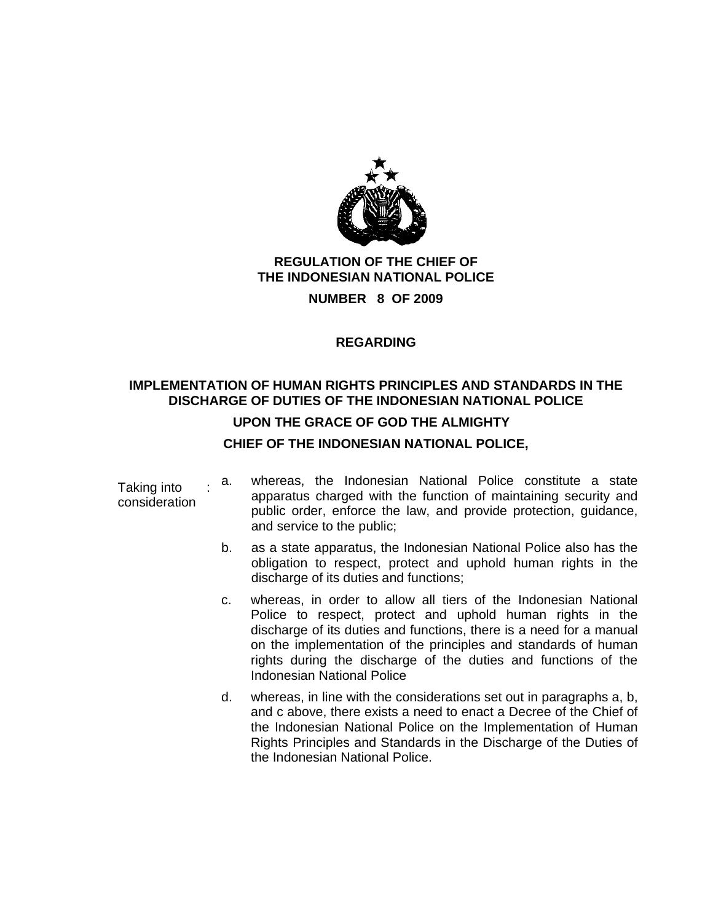

# **REGULATION OF THE CHIEF OF THE INDONESIAN NATIONAL POLICE**

**NUMBER 8 OF 2009** 

#### **REGARDING**

#### **IMPLEMENTATION OF HUMAN RIGHTS PRINCIPLES AND STANDARDS IN THE DISCHARGE OF DUTIES OF THE INDONESIAN NATIONAL POLICE**

#### **UPON THE GRACE OF GOD THE ALMIGHTY**

#### **CHIEF OF THE INDONESIAN NATIONAL POLICE,**

| Taking into<br>consideration | a. | whereas, the Indonesian National Police constitute a state<br>apparatus charged with the function of maintaining security and<br>public order, enforce the law, and provide protection, guidance,<br>and service to the public;                                                                                                                                              |
|------------------------------|----|------------------------------------------------------------------------------------------------------------------------------------------------------------------------------------------------------------------------------------------------------------------------------------------------------------------------------------------------------------------------------|
|                              | b. | as a state apparatus, the Indonesian National Police also has the<br>obligation to respect, protect and uphold human rights in the<br>discharge of its duties and functions;                                                                                                                                                                                                 |
|                              | C. | whereas, in order to allow all tiers of the Indonesian National<br>Police to respect, protect and uphold human rights in the<br>discharge of its duties and functions, there is a need for a manual<br>on the implementation of the principles and standards of human<br>rights during the discharge of the duties and functions of the<br><b>Indonesian National Police</b> |
|                              | d. | whereas, in line with the considerations set out in paragraphs a, b,<br>and c above, there exists a need to enact a Decree of the Chief of<br>the Indonesian National Police on the Implementation of Human<br>Rights Principles and Standards in the Discharge of the Duties of<br>the Indonesian National Police.                                                          |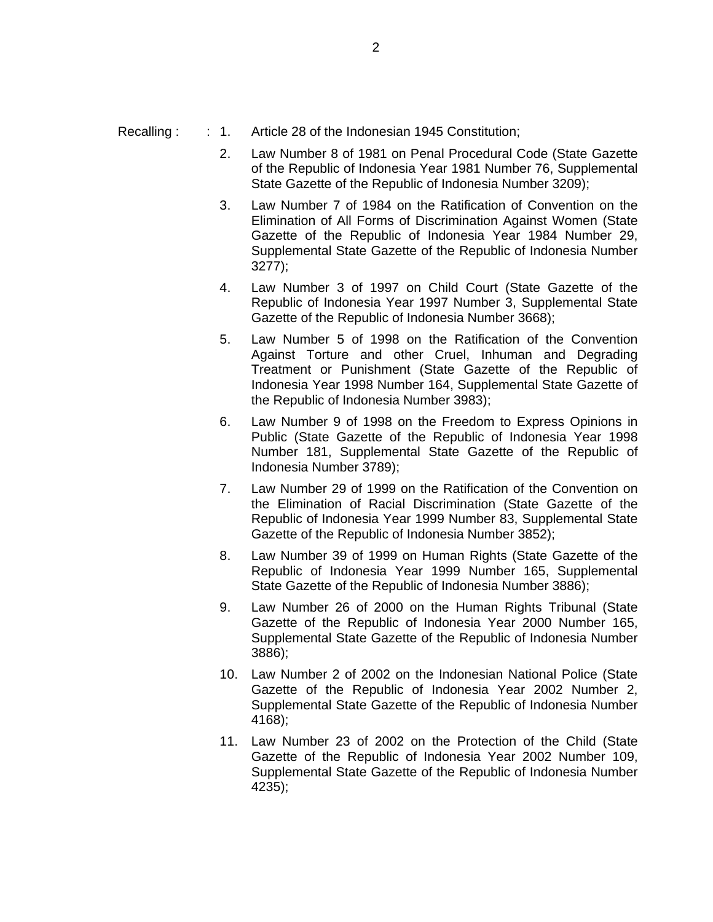#### Recalling : : 1. Article 28 of the Indonesian 1945 Constitution;

- 2. Law Number 8 of 1981 on Penal Procedural Code (State Gazette of the Republic of Indonesia Year 1981 Number 76, Supplemental State Gazette of the Republic of Indonesia Number 3209);
- 3. Law Number 7 of 1984 on the Ratification of Convention on the Elimination of All Forms of Discrimination Against Women (State Gazette of the Republic of Indonesia Year 1984 Number 29, Supplemental State Gazette of the Republic of Indonesia Number 3277);
- 4. Law Number 3 of 1997 on Child Court (State Gazette of the Republic of Indonesia Year 1997 Number 3, Supplemental State Gazette of the Republic of Indonesia Number 3668);
- 5. Law Number 5 of 1998 on the Ratification of the Convention Against Torture and other Cruel, Inhuman and Degrading Treatment or Punishment (State Gazette of the Republic of Indonesia Year 1998 Number 164, Supplemental State Gazette of the Republic of Indonesia Number 3983);
- 6. Law Number 9 of 1998 on the Freedom to Express Opinions in Public (State Gazette of the Republic of Indonesia Year 1998 Number 181, Supplemental State Gazette of the Republic of Indonesia Number 3789);
- 7. Law Number 29 of 1999 on the Ratification of the Convention on the Elimination of Racial Discrimination (State Gazette of the Republic of Indonesia Year 1999 Number 83, Supplemental State Gazette of the Republic of Indonesia Number 3852);
- 8. Law Number 39 of 1999 on Human Rights (State Gazette of the Republic of Indonesia Year 1999 Number 165, Supplemental State Gazette of the Republic of Indonesia Number 3886);
- 9. Law Number 26 of 2000 on the Human Rights Tribunal (State Gazette of the Republic of Indonesia Year 2000 Number 165, Supplemental State Gazette of the Republic of Indonesia Number 3886);
- 10. Law Number 2 of 2002 on the Indonesian National Police (State Gazette of the Republic of Indonesia Year 2002 Number 2, Supplemental State Gazette of the Republic of Indonesia Number 4168);
- 11. Law Number 23 of 2002 on the Protection of the Child (State Gazette of the Republic of Indonesia Year 2002 Number 109, Supplemental State Gazette of the Republic of Indonesia Number 4235);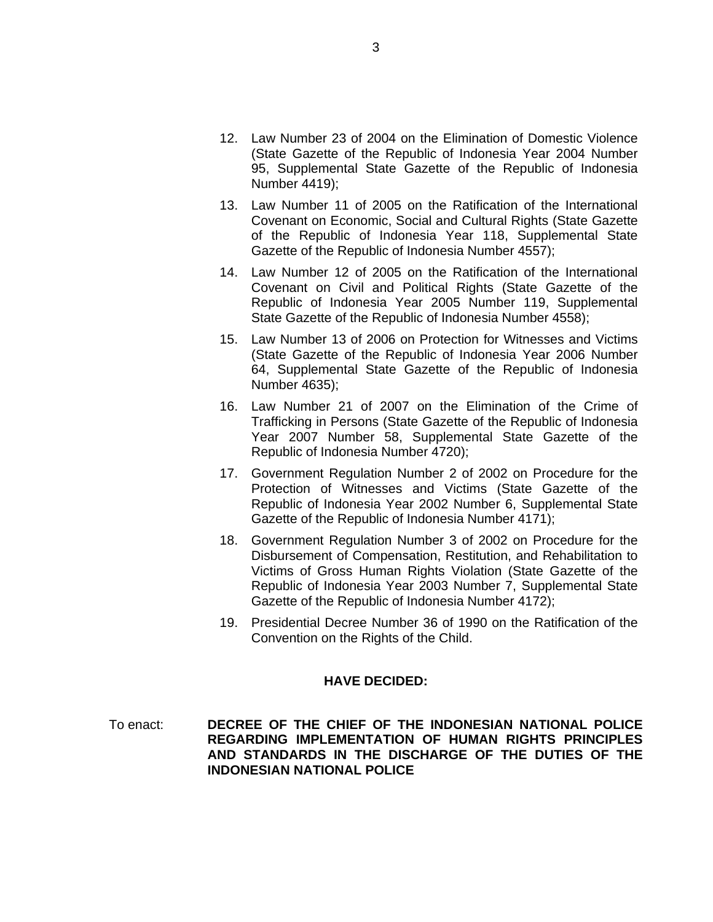- 12. Law Number 23 of 2004 on the Elimination of Domestic Violence (State Gazette of the Republic of Indonesia Year 2004 Number 95, Supplemental State Gazette of the Republic of Indonesia Number 4419);
- 13. Law Number 11 of 2005 on the Ratification of the International Covenant on Economic, Social and Cultural Rights (State Gazette of the Republic of Indonesia Year 118, Supplemental State Gazette of the Republic of Indonesia Number 4557);
- 14. Law Number 12 of 2005 on the Ratification of the International Covenant on Civil and Political Rights (State Gazette of the Republic of Indonesia Year 2005 Number 119, Supplemental State Gazette of the Republic of Indonesia Number 4558);
- 15. Law Number 13 of 2006 on Protection for Witnesses and Victims (State Gazette of the Republic of Indonesia Year 2006 Number 64, Supplemental State Gazette of the Republic of Indonesia Number 4635);
- 16. Law Number 21 of 2007 on the Elimination of the Crime of Trafficking in Persons (State Gazette of the Republic of Indonesia Year 2007 Number 58, Supplemental State Gazette of the Republic of Indonesia Number 4720);
- 17. Government Regulation Number 2 of 2002 on Procedure for the Protection of Witnesses and Victims (State Gazette of the Republic of Indonesia Year 2002 Number 6, Supplemental State Gazette of the Republic of Indonesia Number 4171);
- 18. Government Regulation Number 3 of 2002 on Procedure for the Disbursement of Compensation, Restitution, and Rehabilitation to Victims of Gross Human Rights Violation (State Gazette of the Republic of Indonesia Year 2003 Number 7, Supplemental State Gazette of the Republic of Indonesia Number 4172);
- 19. Presidential Decree Number 36 of 1990 on the Ratification of the Convention on the Rights of the Child.

#### **HAVE DECIDED:**

To enact: **DECREE OF THE CHIEF OF THE INDONESIAN NATIONAL POLICE REGARDING IMPLEMENTATION OF HUMAN RIGHTS PRINCIPLES AND STANDARDS IN THE DISCHARGE OF THE DUTIES OF THE INDONESIAN NATIONAL POLICE**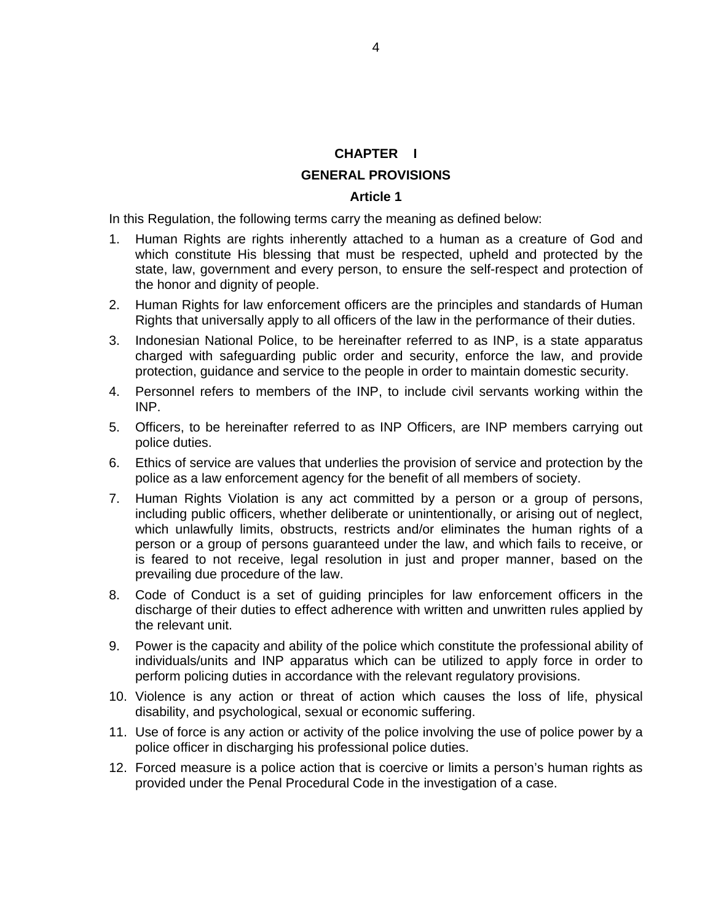#### **CHAPTER I**

#### **GENERAL PROVISIONS**

#### **Article 1**

In this Regulation, the following terms carry the meaning as defined below:

- 1. Human Rights are rights inherently attached to a human as a creature of God and which constitute His blessing that must be respected, upheld and protected by the state, law, government and every person, to ensure the self-respect and protection of the honor and dignity of people.
- 2. Human Rights for law enforcement officers are the principles and standards of Human Rights that universally apply to all officers of the law in the performance of their duties.
- 3. Indonesian National Police, to be hereinafter referred to as INP, is a state apparatus charged with safeguarding public order and security, enforce the law, and provide protection, guidance and service to the people in order to maintain domestic security.
- 4. Personnel refers to members of the INP, to include civil servants working within the INP.
- 5. Officers, to be hereinafter referred to as INP Officers, are INP members carrying out police duties.
- 6. Ethics of service are values that underlies the provision of service and protection by the police as a law enforcement agency for the benefit of all members of society.
- 7. Human Rights Violation is any act committed by a person or a group of persons, including public officers, whether deliberate or unintentionally, or arising out of neglect, which unlawfully limits, obstructs, restricts and/or eliminates the human rights of a person or a group of persons guaranteed under the law, and which fails to receive, or is feared to not receive, legal resolution in just and proper manner, based on the prevailing due procedure of the law.
- 8. Code of Conduct is a set of guiding principles for law enforcement officers in the discharge of their duties to effect adherence with written and unwritten rules applied by the relevant unit.
- 9. Power is the capacity and ability of the police which constitute the professional ability of individuals/units and INP apparatus which can be utilized to apply force in order to perform policing duties in accordance with the relevant regulatory provisions.
- 10. Violence is any action or threat of action which causes the loss of life, physical disability, and psychological, sexual or economic suffering.
- 11. Use of force is any action or activity of the police involving the use of police power by a police officer in discharging his professional police duties.
- 12. Forced measure is a police action that is coercive or limits a person's human rights as provided under the Penal Procedural Code in the investigation of a case.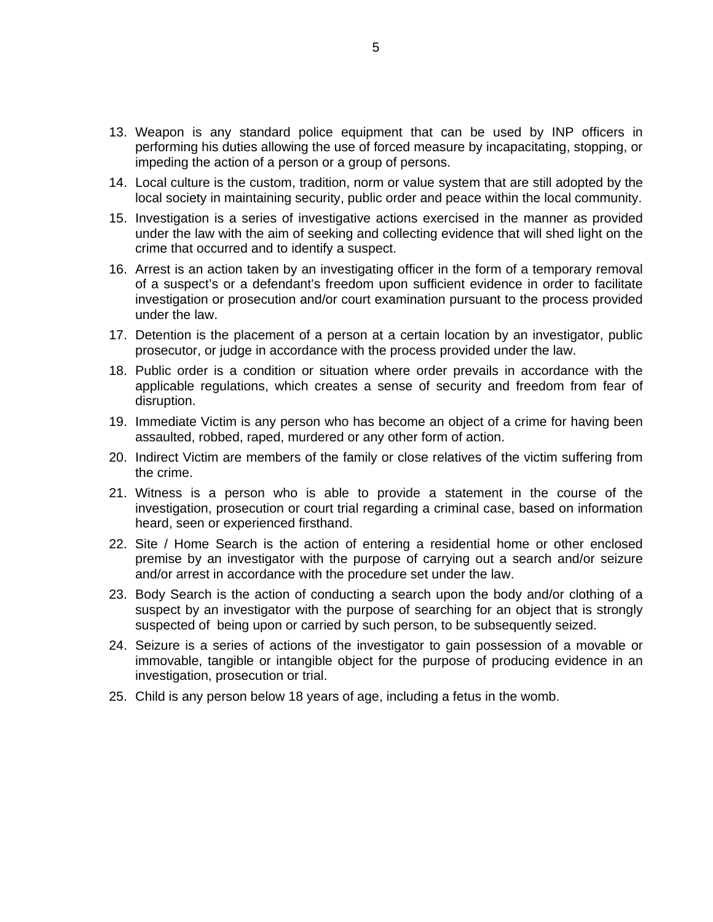- 13. Weapon is any standard police equipment that can be used by INP officers in performing his duties allowing the use of forced measure by incapacitating, stopping, or impeding the action of a person or a group of persons.
- 14. Local culture is the custom, tradition, norm or value system that are still adopted by the local society in maintaining security, public order and peace within the local community.
- 15. Investigation is a series of investigative actions exercised in the manner as provided under the law with the aim of seeking and collecting evidence that will shed light on the crime that occurred and to identify a suspect.
- 16. Arrest is an action taken by an investigating officer in the form of a temporary removal of a suspect's or a defendant's freedom upon sufficient evidence in order to facilitate investigation or prosecution and/or court examination pursuant to the process provided under the law.
- 17. Detention is the placement of a person at a certain location by an investigator, public prosecutor, or judge in accordance with the process provided under the law.
- 18. Public order is a condition or situation where order prevails in accordance with the applicable regulations, which creates a sense of security and freedom from fear of disruption.
- 19. Immediate Victim is any person who has become an object of a crime for having been assaulted, robbed, raped, murdered or any other form of action.
- 20. Indirect Victim are members of the family or close relatives of the victim suffering from the crime.
- 21. Witness is a person who is able to provide a statement in the course of the investigation, prosecution or court trial regarding a criminal case, based on information heard, seen or experienced firsthand.
- 22. Site / Home Search is the action of entering a residential home or other enclosed premise by an investigator with the purpose of carrying out a search and/or seizure and/or arrest in accordance with the procedure set under the law.
- 23. Body Search is the action of conducting a search upon the body and/or clothing of a suspect by an investigator with the purpose of searching for an object that is strongly suspected of being upon or carried by such person, to be subsequently seized.
- 24. Seizure is a series of actions of the investigator to gain possession of a movable or immovable, tangible or intangible object for the purpose of producing evidence in an investigation, prosecution or trial.
- 25. Child is any person below 18 years of age, including a fetus in the womb.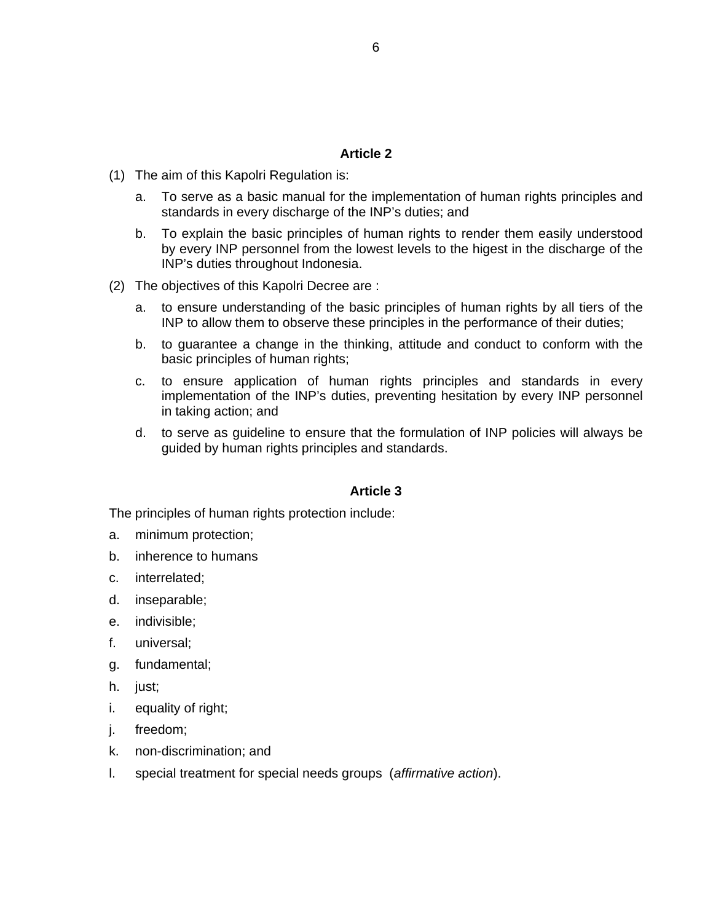- (1) The aim of this Kapolri Regulation is:
	- a. To serve as a basic manual for the implementation of human rights principles and standards in every discharge of the INP's duties; and
	- b. To explain the basic principles of human rights to render them easily understood by every INP personnel from the lowest levels to the higest in the discharge of the INP's duties throughout Indonesia.
- (2) The objectives of this Kapolri Decree are :
	- a. to ensure understanding of the basic principles of human rights by all tiers of the INP to allow them to observe these principles in the performance of their duties;
	- b. to guarantee a change in the thinking, attitude and conduct to conform with the basic principles of human rights;
	- c. to ensure application of human rights principles and standards in every implementation of the INP's duties, preventing hesitation by every INP personnel in taking action; and
	- d. to serve as guideline to ensure that the formulation of INP policies will always be guided by human rights principles and standards.

#### **Article 3**

The principles of human rights protection include:

- a. minimum protection;
- b. inherence to humans
- c. interrelated;
- d. inseparable;
- e. indivisible;
- f. universal;
- g. fundamental;
- h. just;
- i. equality of right;
- j. freedom;
- k. non-discrimination; and
- l. special treatment for special needs groups (*affirmative action*).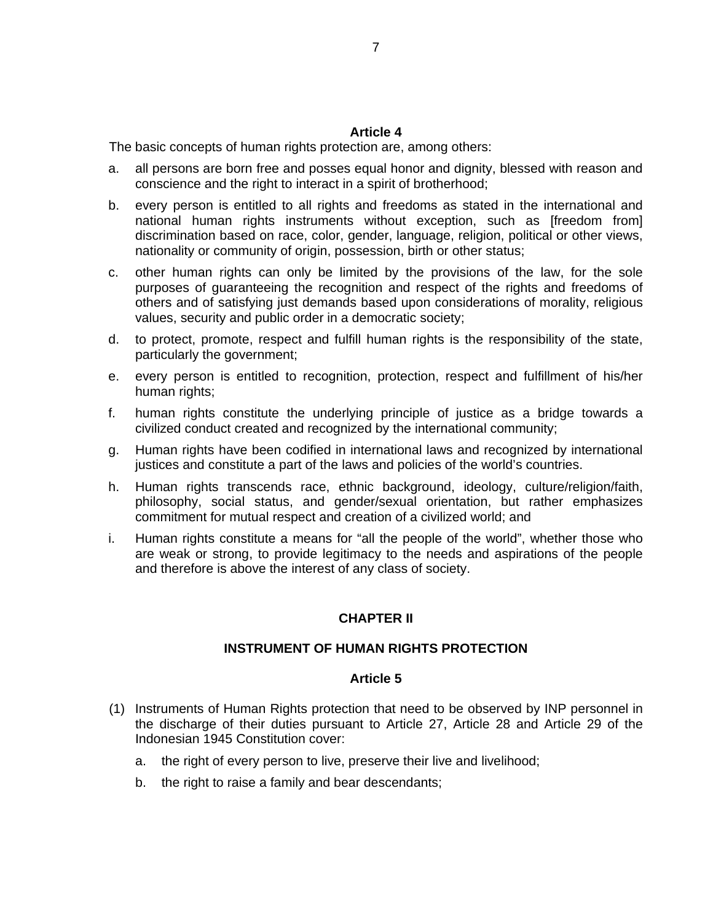The basic concepts of human rights protection are, among others:

- a. all persons are born free and posses equal honor and dignity, blessed with reason and conscience and the right to interact in a spirit of brotherhood;
- b. every person is entitled to all rights and freedoms as stated in the international and national human rights instruments without exception, such as [freedom from] discrimination based on race, color, gender, language, religion, political or other views, nationality or community of origin, possession, birth or other status;
- c. other human rights can only be limited by the provisions of the law, for the sole purposes of guaranteeing the recognition and respect of the rights and freedoms of others and of satisfying just demands based upon considerations of morality, religious values, security and public order in a democratic society;
- d. to protect, promote, respect and fulfill human rights is the responsibility of the state, particularly the government;
- e. every person is entitled to recognition, protection, respect and fulfillment of his/her human rights;
- f. human rights constitute the underlying principle of justice as a bridge towards a civilized conduct created and recognized by the international community;
- g. Human rights have been codified in international laws and recognized by international justices and constitute a part of the laws and policies of the world's countries.
- h. Human rights transcends race, ethnic background, ideology, culture/religion/faith, philosophy, social status, and gender/sexual orientation, but rather emphasizes commitment for mutual respect and creation of a civilized world; and
- i. Human rights constitute a means for "all the people of the world", whether those who are weak or strong, to provide legitimacy to the needs and aspirations of the people and therefore is above the interest of any class of society.

#### **CHAPTER II**

#### **INSTRUMENT OF HUMAN RIGHTS PROTECTION**

- (1) Instruments of Human Rights protection that need to be observed by INP personnel in the discharge of their duties pursuant to Article 27, Article 28 and Article 29 of the Indonesian 1945 Constitution cover:
	- a. the right of every person to live, preserve their live and livelihood;
	- b. the right to raise a family and bear descendants;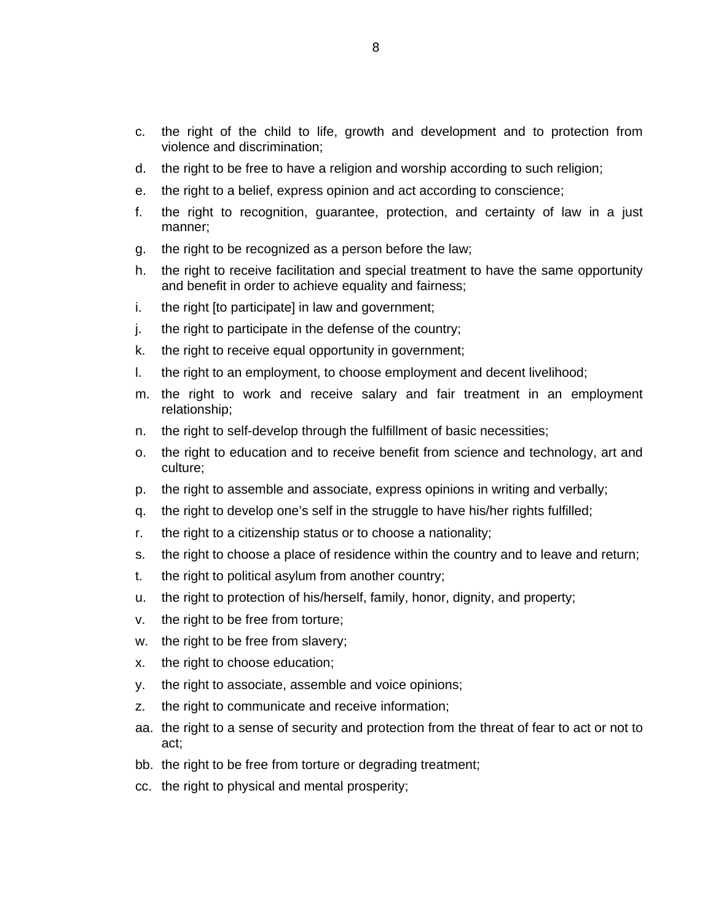- c. the right of the child to life, growth and development and to protection from violence and discrimination;
- d. the right to be free to have a religion and worship according to such religion;
- e. the right to a belief, express opinion and act according to conscience;
- f. the right to recognition, guarantee, protection, and certainty of law in a just manner;
- g. the right to be recognized as a person before the law;
- h. the right to receive facilitation and special treatment to have the same opportunity and benefit in order to achieve equality and fairness;
- i. the right [to participate] in law and government;
- j. the right to participate in the defense of the country;
- k. the right to receive equal opportunity in government;
- l. the right to an employment, to choose employment and decent livelihood;
- m. the right to work and receive salary and fair treatment in an employment relationship;
- n. the right to self-develop through the fulfillment of basic necessities;
- o. the right to education and to receive benefit from science and technology, art and culture;
- p. the right to assemble and associate, express opinions in writing and verbally;
- q. the right to develop one's self in the struggle to have his/her rights fulfilled;
- r. the right to a citizenship status or to choose a nationality;
- s. the right to choose a place of residence within the country and to leave and return;
- t. the right to political asylum from another country;
- u. the right to protection of his/herself, family, honor, dignity, and property;
- v. the right to be free from torture;
- w. the right to be free from slavery;
- x. the right to choose education;
- y. the right to associate, assemble and voice opinions;
- z. the right to communicate and receive information;
- aa. the right to a sense of security and protection from the threat of fear to act or not to act;
- bb. the right to be free from torture or degrading treatment;
- cc. the right to physical and mental prosperity;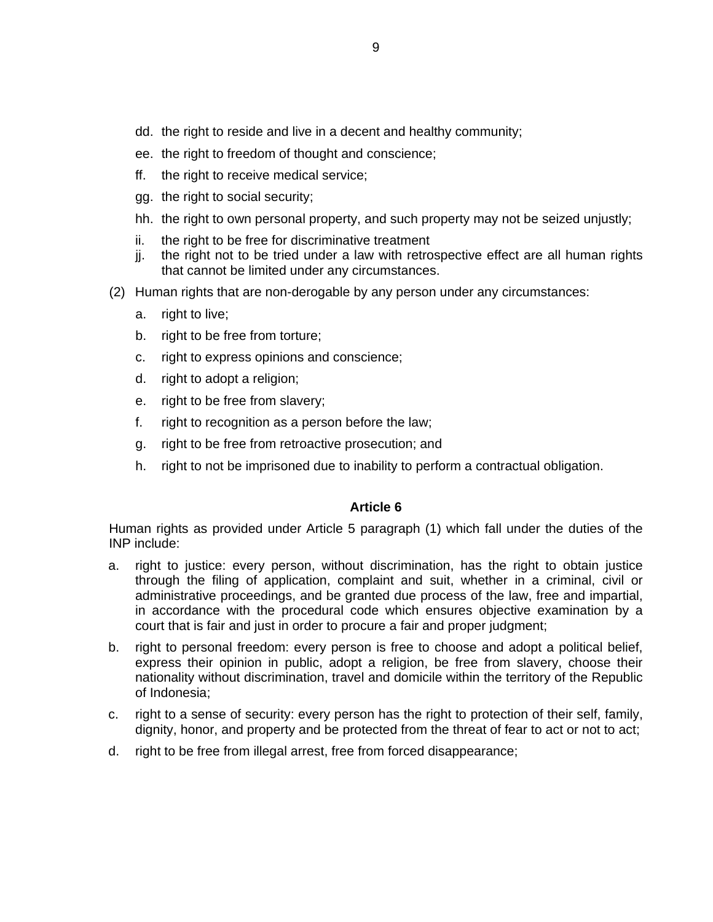- dd. the right to reside and live in a decent and healthy community;
- ee. the right to freedom of thought and conscience;
- ff. the right to receive medical service;
- gg. the right to social security;
- hh. the right to own personal property, and such property may not be seized unjustly;
- ii. the right to be free for discriminative treatment
- jj. the right not to be tried under a law with retrospective effect are all human rights that cannot be limited under any circumstances.
- (2) Human rights that are non-derogable by any person under any circumstances:
	- a. right to live;
	- b. right to be free from torture;
	- c. right to express opinions and conscience;
	- d. right to adopt a religion;
	- e. right to be free from slavery;
	- f. right to recognition as a person before the law;
	- g. right to be free from retroactive prosecution; and
	- h. right to not be imprisoned due to inability to perform a contractual obligation.

Human rights as provided under Article 5 paragraph (1) which fall under the duties of the INP include:

- a. right to justice: every person, without discrimination, has the right to obtain justice through the filing of application, complaint and suit, whether in a criminal, civil or administrative proceedings, and be granted due process of the law, free and impartial, in accordance with the procedural code which ensures objective examination by a court that is fair and just in order to procure a fair and proper judgment;
- b. right to personal freedom: every person is free to choose and adopt a political belief, express their opinion in public, adopt a religion, be free from slavery, choose their nationality without discrimination, travel and domicile within the territory of the Republic of Indonesia;
- c. right to a sense of security: every person has the right to protection of their self, family, dignity, honor, and property and be protected from the threat of fear to act or not to act;
- d. right to be free from illegal arrest, free from forced disappearance;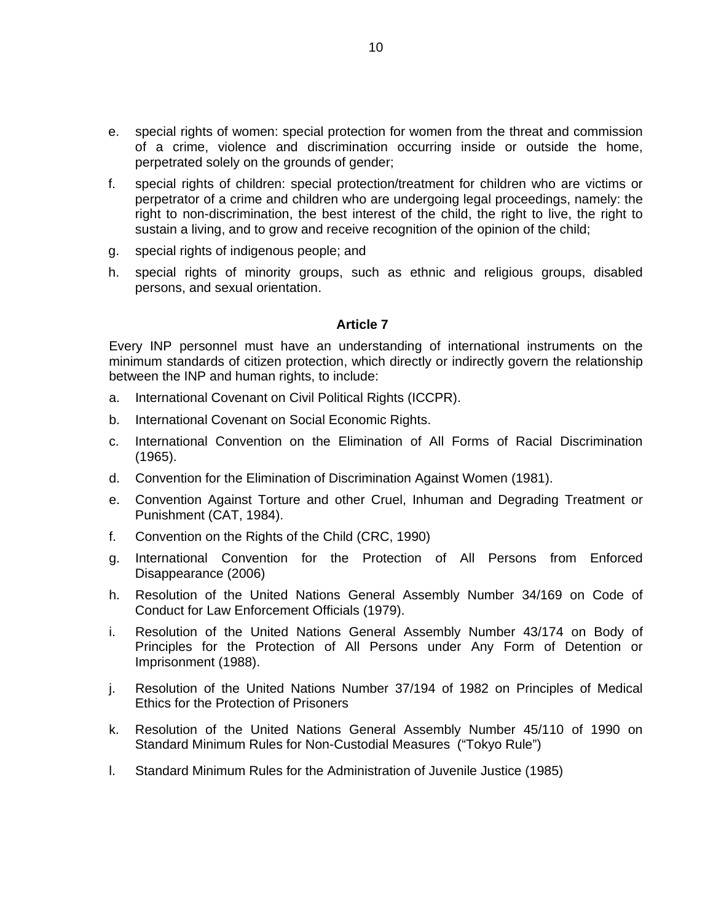- e. special rights of women: special protection for women from the threat and commission of a crime, violence and discrimination occurring inside or outside the home, perpetrated solely on the grounds of gender;
- f. special rights of children: special protection/treatment for children who are victims or perpetrator of a crime and children who are undergoing legal proceedings, namely: the right to non-discrimination, the best interest of the child, the right to live, the right to sustain a living, and to grow and receive recognition of the opinion of the child;
- g. special rights of indigenous people; and
- h. special rights of minority groups, such as ethnic and religious groups, disabled persons, and sexual orientation.

Every INP personnel must have an understanding of international instruments on the minimum standards of citizen protection, which directly or indirectly govern the relationship between the INP and human rights, to include:

- a. International Covenant on Civil Political Rights (ICCPR).
- b. International Covenant on Social Economic Rights.
- c. International Convention on the Elimination of All Forms of Racial Discrimination (1965).
- d. Convention for the Elimination of Discrimination Against Women (1981).
- e. Convention Against Torture and other Cruel, Inhuman and Degrading Treatment or Punishment (CAT, 1984).
- f. Convention on the Rights of the Child (CRC, 1990)
- g. International Convention for the Protection of All Persons from Enforced Disappearance (2006)
- h. Resolution of the United Nations General Assembly Number 34/169 on Code of Conduct for Law Enforcement Officials (1979).
- i. Resolution of the United Nations General Assembly Number 43/174 on Body of Principles for the Protection of All Persons under Any Form of Detention or Imprisonment (1988).
- j. Resolution of the United Nations Number 37/194 of 1982 on Principles of Medical Ethics for the Protection of Prisoners
- k. Resolution of the United Nations General Assembly Number 45/110 of 1990 on Standard Minimum Rules for Non-Custodial Measures ("Tokyo Rule")
- l. Standard Minimum Rules for the Administration of Juvenile Justice (1985)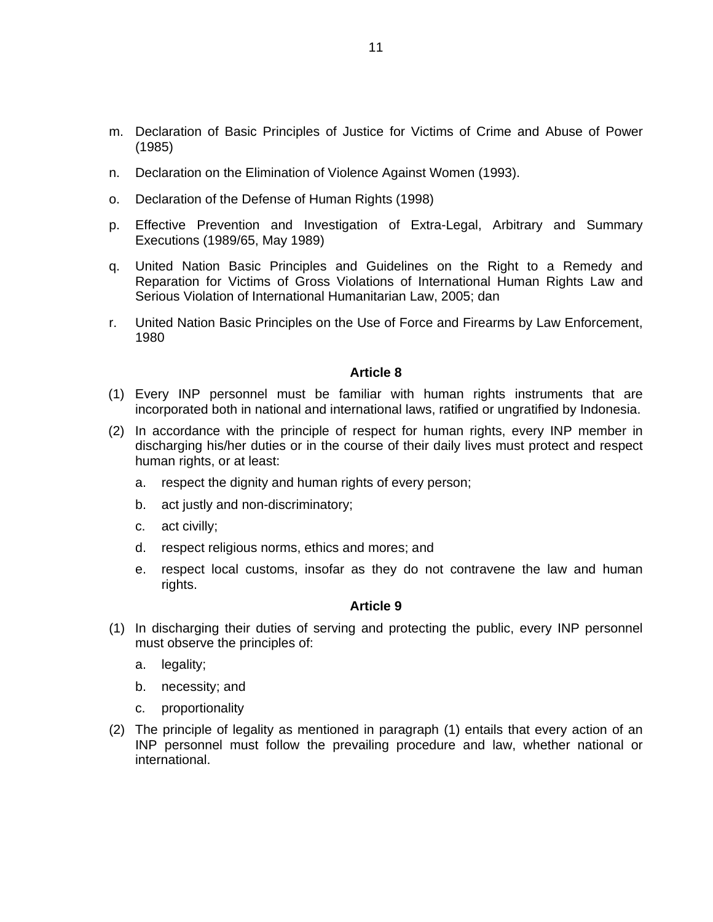- m. Declaration of Basic Principles of Justice for Victims of Crime and Abuse of Power (1985)
- n. Declaration on the Elimination of Violence Against Women (1993).
- o. Declaration of the Defense of Human Rights (1998)
- p. Effective Prevention and Investigation of Extra-Legal, Arbitrary and Summary Executions (1989/65, May 1989)
- q. United Nation Basic Principles and Guidelines on the Right to a Remedy and Reparation for Victims of Gross Violations of International Human Rights Law and Serious Violation of International Humanitarian Law, 2005; dan
- r. United Nation Basic Principles on the Use of Force and Firearms by Law Enforcement, 1980

- (1) Every INP personnel must be familiar with human rights instruments that are incorporated both in national and international laws, ratified or ungratified by Indonesia.
- (2) In accordance with the principle of respect for human rights, every INP member in discharging his/her duties or in the course of their daily lives must protect and respect human rights, or at least:
	- a. respect the dignity and human rights of every person;
	- b. act justly and non-discriminatory;
	- c. act civilly;
	- d. respect religious norms, ethics and mores; and
	- e. respect local customs, insofar as they do not contravene the law and human rights.

- (1) In discharging their duties of serving and protecting the public, every INP personnel must observe the principles of:
	- a. legality;
	- b. necessity; and
	- c. proportionality
- (2) The principle of legality as mentioned in paragraph (1) entails that every action of an INP personnel must follow the prevailing procedure and law, whether national or international.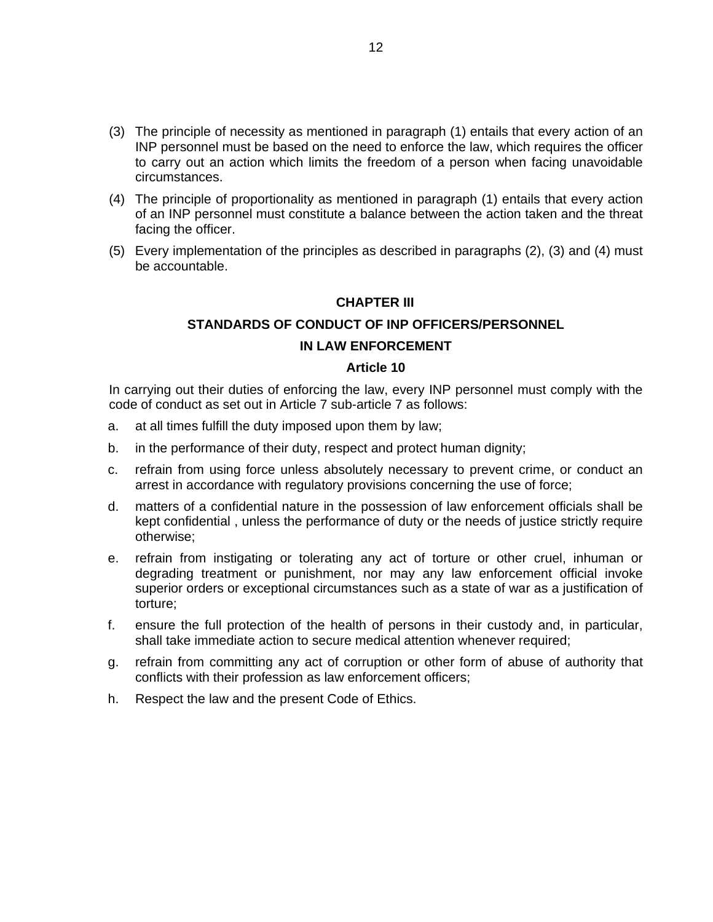- (3) The principle of necessity as mentioned in paragraph (1) entails that every action of an INP personnel must be based on the need to enforce the law, which requires the officer to carry out an action which limits the freedom of a person when facing unavoidable circumstances.
- (4) The principle of proportionality as mentioned in paragraph (1) entails that every action of an INP personnel must constitute a balance between the action taken and the threat facing the officer.
- (5) Every implementation of the principles as described in paragraphs (2), (3) and (4) must be accountable.

#### **CHAPTER III**

#### **STANDARDS OF CONDUCT OF INP OFFICERS/PERSONNEL**

#### **IN LAW ENFORCEMENT**

#### **Article 10**

In carrying out their duties of enforcing the law, every INP personnel must comply with the code of conduct as set out in Article 7 sub-article 7 as follows:

- a. at all times fulfill the duty imposed upon them by law;
- b. in the performance of their duty, respect and protect human dignity;
- c. refrain from using force unless absolutely necessary to prevent crime, or conduct an arrest in accordance with regulatory provisions concerning the use of force;
- d. matters of a confidential nature in the possession of law enforcement officials shall be kept confidential , unless the performance of duty or the needs of justice strictly require otherwise;
- e. refrain from instigating or tolerating any act of torture or other cruel, inhuman or degrading treatment or punishment, nor may any law enforcement official invoke superior orders or exceptional circumstances such as a state of war as a justification of torture;
- f. ensure the full protection of the health of persons in their custody and, in particular, shall take immediate action to secure medical attention whenever required;
- g. refrain from committing any act of corruption or other form of abuse of authority that conflicts with their profession as law enforcement officers;
- h. Respect the law and the present Code of Ethics.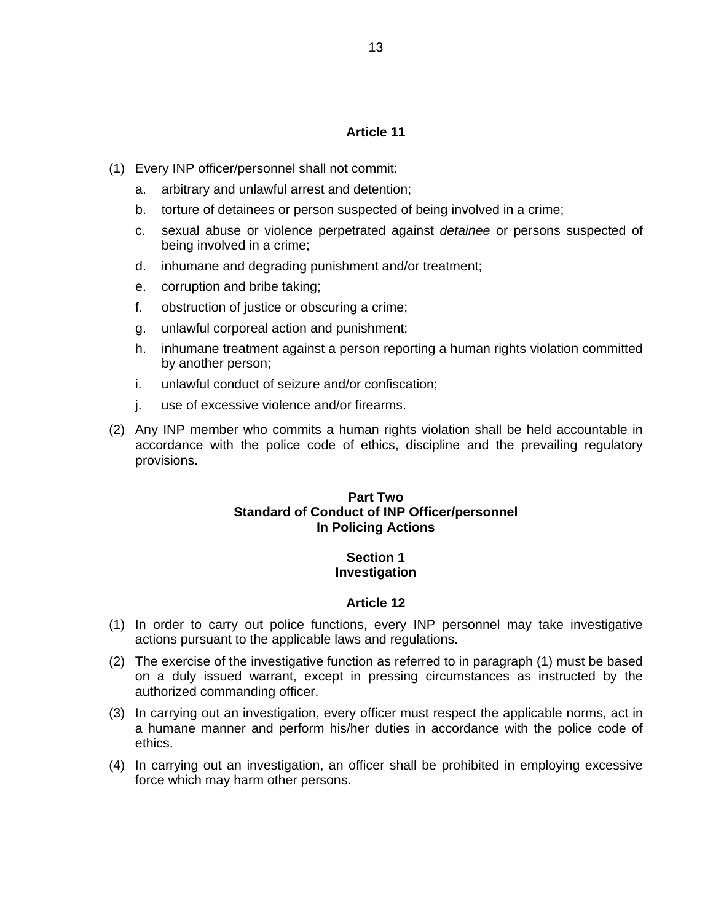- (1) Every INP officer/personnel shall not commit:
	- a. arbitrary and unlawful arrest and detention;
	- b. torture of detainees or person suspected of being involved in a crime;
	- c. sexual abuse or violence perpetrated against *detainee* or persons suspected of being involved in a crime;
	- d. inhumane and degrading punishment and/or treatment;
	- e. corruption and bribe taking;
	- f. obstruction of justice or obscuring a crime;
	- g. unlawful corporeal action and punishment;
	- h. inhumane treatment against a person reporting a human rights violation committed by another person;
	- i. unlawful conduct of seizure and/or confiscation;
	- j. use of excessive violence and/or firearms.
- (2) Any INP member who commits a human rights violation shall be held accountable in accordance with the police code of ethics, discipline and the prevailing regulatory provisions.

#### **Part Two Standard of Conduct of INP Officer/personnel In Policing Actions**

#### **Section 1 Investigation**

- (1) In order to carry out police functions, every INP personnel may take investigative actions pursuant to the applicable laws and regulations.
- (2) The exercise of the investigative function as referred to in paragraph (1) must be based on a duly issued warrant, except in pressing circumstances as instructed by the authorized commanding officer.
- (3) In carrying out an investigation, every officer must respect the applicable norms, act in a humane manner and perform his/her duties in accordance with the police code of ethics.
- (4) In carrying out an investigation, an officer shall be prohibited in employing excessive force which may harm other persons.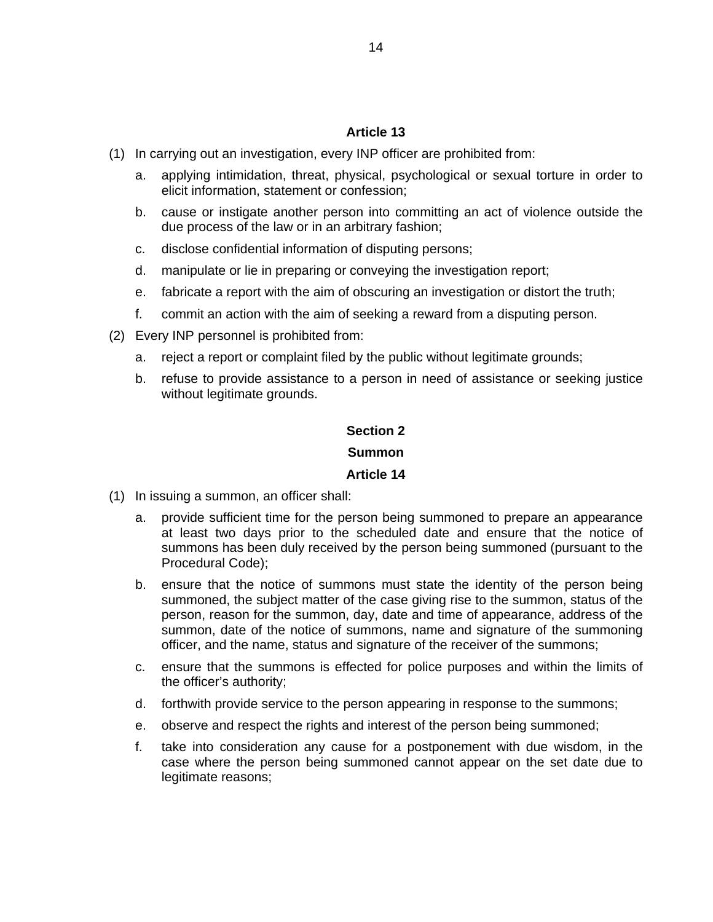- (1) In carrying out an investigation, every INP officer are prohibited from:
	- a. applying intimidation, threat, physical, psychological or sexual torture in order to elicit information, statement or confession;
	- b. cause or instigate another person into committing an act of violence outside the due process of the law or in an arbitrary fashion;
	- c. disclose confidential information of disputing persons;
	- d. manipulate or lie in preparing or conveying the investigation report;
	- e. fabricate a report with the aim of obscuring an investigation or distort the truth;
	- f. commit an action with the aim of seeking a reward from a disputing person.
- (2) Every INP personnel is prohibited from:
	- a. reject a report or complaint filed by the public without legitimate grounds;
	- b. refuse to provide assistance to a person in need of assistance or seeking justice without legitimate grounds.

#### **Section 2**

#### **Summon**

- (1) In issuing a summon, an officer shall:
	- a. provide sufficient time for the person being summoned to prepare an appearance at least two days prior to the scheduled date and ensure that the notice of summons has been duly received by the person being summoned (pursuant to the Procedural Code);
	- b. ensure that the notice of summons must state the identity of the person being summoned, the subject matter of the case giving rise to the summon, status of the person, reason for the summon, day, date and time of appearance, address of the summon, date of the notice of summons, name and signature of the summoning officer, and the name, status and signature of the receiver of the summons;
	- c. ensure that the summons is effected for police purposes and within the limits of the officer's authority;
	- d. forthwith provide service to the person appearing in response to the summons;
	- e. observe and respect the rights and interest of the person being summoned;
	- f. take into consideration any cause for a postponement with due wisdom, in the case where the person being summoned cannot appear on the set date due to legitimate reasons;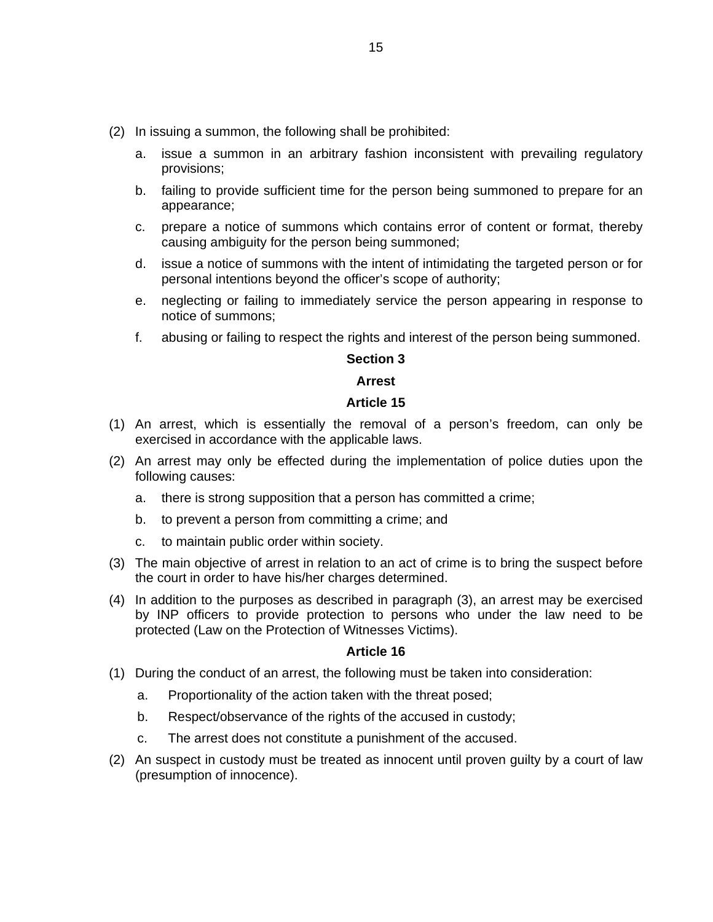- (2) In issuing a summon, the following shall be prohibited:
	- a. issue a summon in an arbitrary fashion inconsistent with prevailing regulatory provisions;
	- b. failing to provide sufficient time for the person being summoned to prepare for an appearance;
	- c. prepare a notice of summons which contains error of content or format, thereby causing ambiguity for the person being summoned;
	- d. issue a notice of summons with the intent of intimidating the targeted person or for personal intentions beyond the officer's scope of authority;
	- e. neglecting or failing to immediately service the person appearing in response to notice of summons;
	- f. abusing or failing to respect the rights and interest of the person being summoned.

#### **Section 3**

#### **Arrest**

#### **Article 15**

- (1) An arrest, which is essentially the removal of a person's freedom, can only be exercised in accordance with the applicable laws.
- (2) An arrest may only be effected during the implementation of police duties upon the following causes:
	- a. there is strong supposition that a person has committed a crime;
	- b. to prevent a person from committing a crime; and
	- c. to maintain public order within society.
- (3) The main objective of arrest in relation to an act of crime is to bring the suspect before the court in order to have his/her charges determined.
- (4) In addition to the purposes as described in paragraph (3), an arrest may be exercised by INP officers to provide protection to persons who under the law need to be protected (Law on the Protection of Witnesses Victims).

- (1) During the conduct of an arrest, the following must be taken into consideration:
	- a. Proportionality of the action taken with the threat posed;
	- b. Respect/observance of the rights of the accused in custody;
	- c. The arrest does not constitute a punishment of the accused.
- (2) An suspect in custody must be treated as innocent until proven guilty by a court of law (presumption of innocence).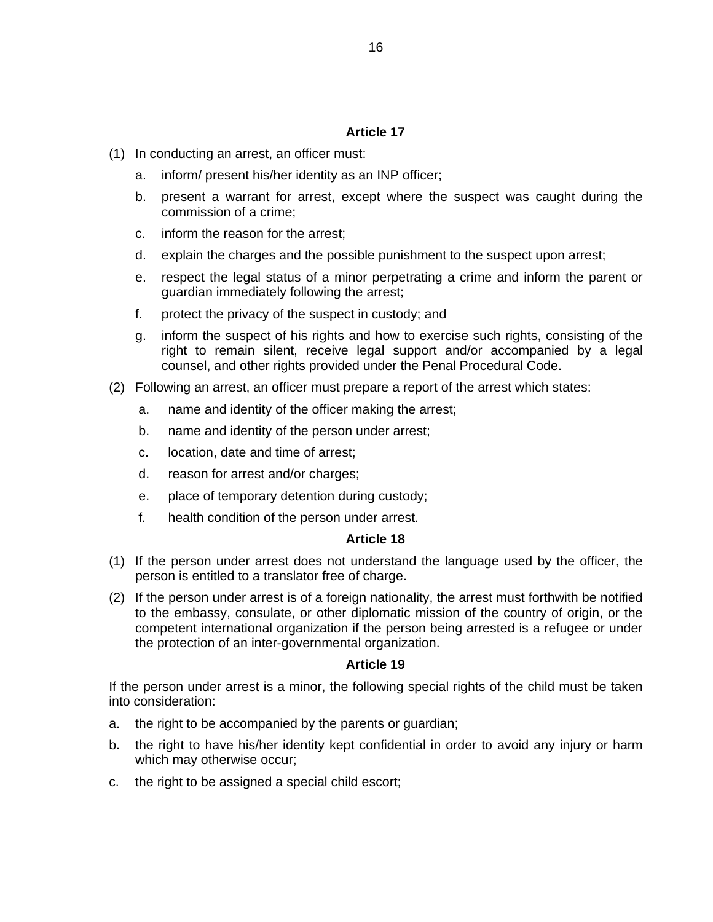- (1) In conducting an arrest, an officer must:
	- a. inform/ present his/her identity as an INP officer;
	- b. present a warrant for arrest, except where the suspect was caught during the commission of a crime;
	- c. inform the reason for the arrest;
	- d. explain the charges and the possible punishment to the suspect upon arrest;
	- e. respect the legal status of a minor perpetrating a crime and inform the parent or guardian immediately following the arrest;
	- f. protect the privacy of the suspect in custody; and
	- g. inform the suspect of his rights and how to exercise such rights, consisting of the right to remain silent, receive legal support and/or accompanied by a legal counsel, and other rights provided under the Penal Procedural Code.
- (2) Following an arrest, an officer must prepare a report of the arrest which states:
	- a. name and identity of the officer making the arrest;
	- b. name and identity of the person under arrest;
	- c. location, date and time of arrest;
	- d. reason for arrest and/or charges;
	- e. place of temporary detention during custody;
	- f. health condition of the person under arrest.

#### **Article 18**

- (1) If the person under arrest does not understand the language used by the officer, the person is entitled to a translator free of charge.
- (2) If the person under arrest is of a foreign nationality, the arrest must forthwith be notified to the embassy, consulate, or other diplomatic mission of the country of origin, or the competent international organization if the person being arrested is a refugee or under the protection of an inter-governmental organization.

#### **Article 19**

If the person under arrest is a minor, the following special rights of the child must be taken into consideration:

- a. the right to be accompanied by the parents or guardian;
- b. the right to have his/her identity kept confidential in order to avoid any injury or harm which may otherwise occur;
- c. the right to be assigned a special child escort;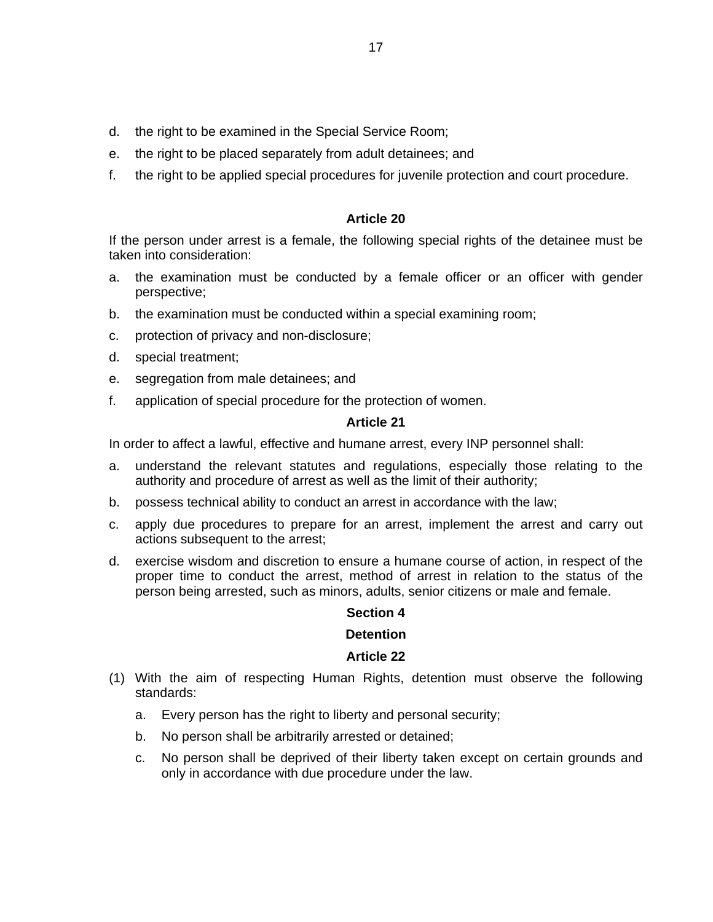- d. the right to be examined in the Special Service Room;
- e. the right to be placed separately from adult detainees; and
- f. the right to be applied special procedures for juvenile protection and court procedure.

If the person under arrest is a female, the following special rights of the detainee must be taken into consideration:

- a. the examination must be conducted by a female officer or an officer with gender perspective;
- b. the examination must be conducted within a special examining room;
- c. protection of privacy and non-disclosure;
- d. special treatment;
- e. segregation from male detainees; and
- f. application of special procedure for the protection of women.

#### **Article 21**

In order to affect a lawful, effective and humane arrest, every INP personnel shall:

- a. understand the relevant statutes and regulations, especially those relating to the authority and procedure of arrest as well as the limit of their authority;
- b. possess technical ability to conduct an arrest in accordance with the law;
- c. apply due procedures to prepare for an arrest, implement the arrest and carry out actions subsequent to the arrest;
- d. exercise wisdom and discretion to ensure a humane course of action, in respect of the proper time to conduct the arrest, method of arrest in relation to the status of the person being arrested, such as minors, adults, senior citizens or male and female.

#### **Section 4**

#### **Detention**

- (1) With the aim of respecting Human Rights, detention must observe the following standards:
	- a. Every person has the right to liberty and personal security;
	- b. No person shall be arbitrarily arrested or detained;
	- c. No person shall be deprived of their liberty taken except on certain grounds and only in accordance with due procedure under the law.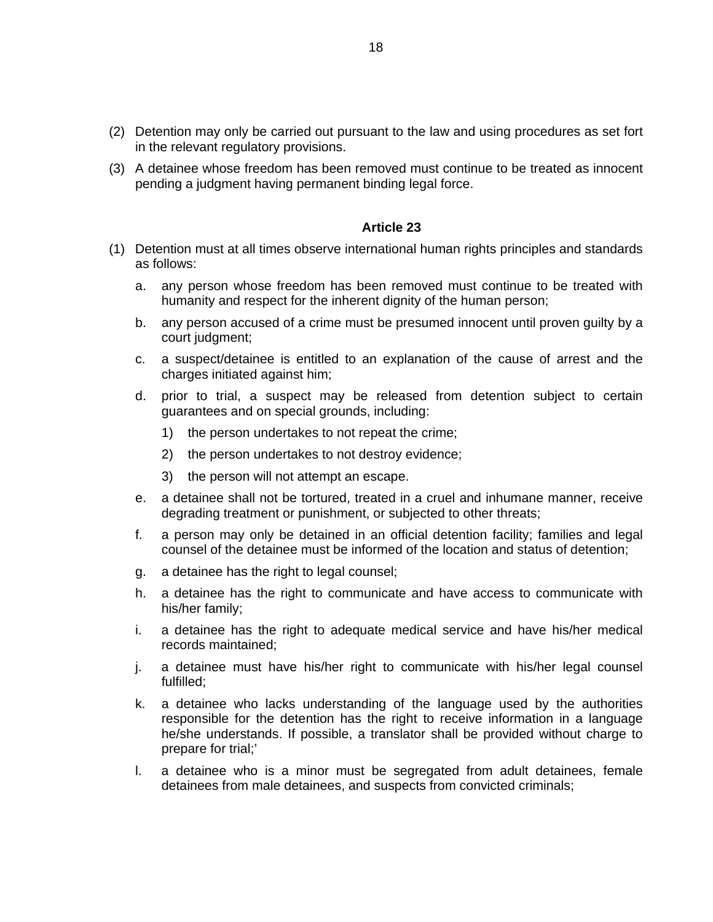- (2) Detention may only be carried out pursuant to the law and using procedures as set fort in the relevant regulatory provisions.
- (3) A detainee whose freedom has been removed must continue to be treated as innocent pending a judgment having permanent binding legal force.

- (1) Detention must at all times observe international human rights principles and standards as follows:
	- a. any person whose freedom has been removed must continue to be treated with humanity and respect for the inherent dignity of the human person;
	- b. any person accused of a crime must be presumed innocent until proven guilty by a court judgment;
	- c. a suspect/detainee is entitled to an explanation of the cause of arrest and the charges initiated against him;
	- d. prior to trial, a suspect may be released from detention subject to certain guarantees and on special grounds, including:
		- 1) the person undertakes to not repeat the crime;
		- 2) the person undertakes to not destroy evidence;
		- 3) the person will not attempt an escape.
	- e. a detainee shall not be tortured, treated in a cruel and inhumane manner, receive degrading treatment or punishment, or subjected to other threats;
	- f. a person may only be detained in an official detention facility; families and legal counsel of the detainee must be informed of the location and status of detention;
	- g. a detainee has the right to legal counsel;
	- h. a detainee has the right to communicate and have access to communicate with his/her family;
	- i. a detainee has the right to adequate medical service and have his/her medical records maintained;
	- j. a detainee must have his/her right to communicate with his/her legal counsel fulfilled;
	- k. a detainee who lacks understanding of the language used by the authorities responsible for the detention has the right to receive information in a language he/she understands. If possible, a translator shall be provided without charge to prepare for trial;'
	- l. a detainee who is a minor must be segregated from adult detainees, female detainees from male detainees, and suspects from convicted criminals;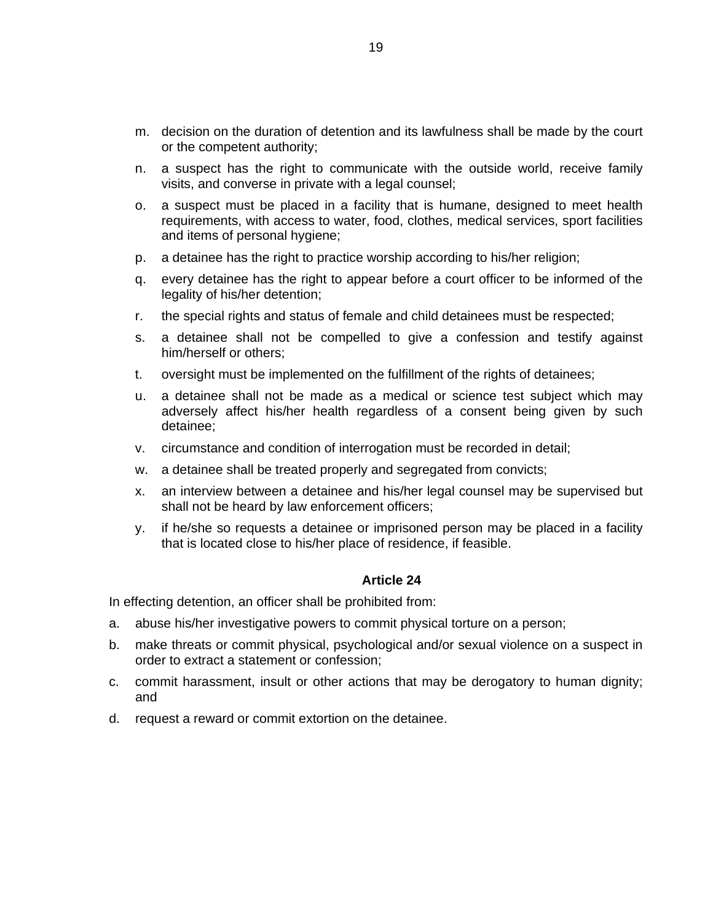- m. decision on the duration of detention and its lawfulness shall be made by the court or the competent authority;
- n. a suspect has the right to communicate with the outside world, receive family visits, and converse in private with a legal counsel;
- o. a suspect must be placed in a facility that is humane, designed to meet health requirements, with access to water, food, clothes, medical services, sport facilities and items of personal hygiene;
- p. a detainee has the right to practice worship according to his/her religion;
- q. every detainee has the right to appear before a court officer to be informed of the legality of his/her detention;
- r. the special rights and status of female and child detainees must be respected;
- s. a detainee shall not be compelled to give a confession and testify against him/herself or others;
- t. oversight must be implemented on the fulfillment of the rights of detainees;
- u. a detainee shall not be made as a medical or science test subject which may adversely affect his/her health regardless of a consent being given by such detainee;
- v. circumstance and condition of interrogation must be recorded in detail;
- w. a detainee shall be treated properly and segregated from convicts;
- x. an interview between a detainee and his/her legal counsel may be supervised but shall not be heard by law enforcement officers;
- y. if he/she so requests a detainee or imprisoned person may be placed in a facility that is located close to his/her place of residence, if feasible.

In effecting detention, an officer shall be prohibited from:

- a. abuse his/her investigative powers to commit physical torture on a person;
- b. make threats or commit physical, psychological and/or sexual violence on a suspect in order to extract a statement or confession;
- c. commit harassment, insult or other actions that may be derogatory to human dignity; and
- d. request a reward or commit extortion on the detainee.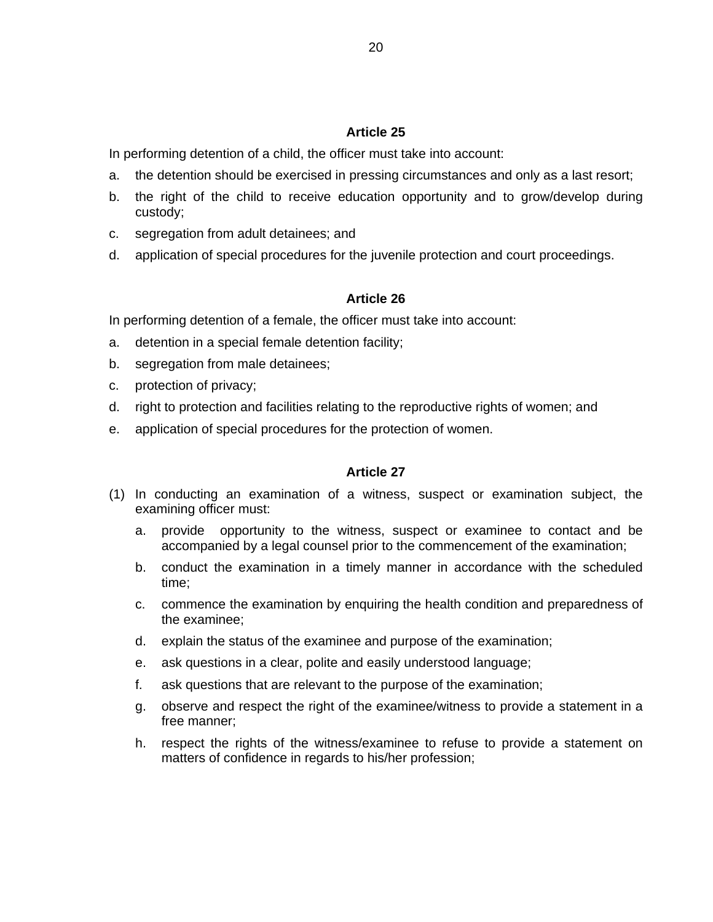In performing detention of a child, the officer must take into account:

- a. the detention should be exercised in pressing circumstances and only as a last resort;
- b. the right of the child to receive education opportunity and to grow/develop during custody;
- c. segregation from adult detainees; and
- d. application of special procedures for the juvenile protection and court proceedings.

#### **Article 26**

In performing detention of a female, the officer must take into account:

- a. detention in a special female detention facility;
- b. segregation from male detainees;
- c. protection of privacy;
- d. right to protection and facilities relating to the reproductive rights of women; and
- e. application of special procedures for the protection of women.

- (1) In conducting an examination of a witness, suspect or examination subject, the examining officer must:
	- a. provide opportunity to the witness, suspect or examinee to contact and be accompanied by a legal counsel prior to the commencement of the examination;
	- b. conduct the examination in a timely manner in accordance with the scheduled time;
	- c. commence the examination by enquiring the health condition and preparedness of the examinee;
	- d. explain the status of the examinee and purpose of the examination;
	- e. ask questions in a clear, polite and easily understood language;
	- f. ask questions that are relevant to the purpose of the examination;
	- g. observe and respect the right of the examinee/witness to provide a statement in a free manner;
	- h. respect the rights of the witness/examinee to refuse to provide a statement on matters of confidence in regards to his/her profession;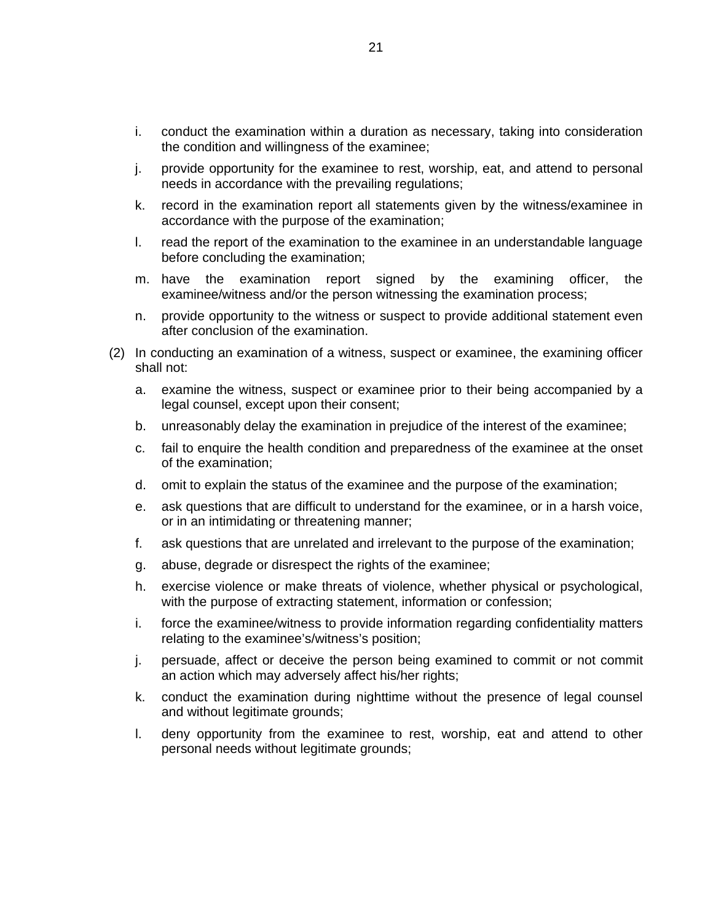- i. conduct the examination within a duration as necessary, taking into consideration the condition and willingness of the examinee;
- j. provide opportunity for the examinee to rest, worship, eat, and attend to personal needs in accordance with the prevailing regulations;
- k. record in the examination report all statements given by the witness/examinee in accordance with the purpose of the examination;
- l. read the report of the examination to the examinee in an understandable language before concluding the examination;
- m. have the examination report signed by the examining officer, the examinee/witness and/or the person witnessing the examination process;
- n. provide opportunity to the witness or suspect to provide additional statement even after conclusion of the examination.
- (2) In conducting an examination of a witness, suspect or examinee, the examining officer shall not:
	- a. examine the witness, suspect or examinee prior to their being accompanied by a legal counsel, except upon their consent;
	- b. unreasonably delay the examination in prejudice of the interest of the examinee;
	- c. fail to enquire the health condition and preparedness of the examinee at the onset of the examination;
	- d. omit to explain the status of the examinee and the purpose of the examination;
	- e. ask questions that are difficult to understand for the examinee, or in a harsh voice, or in an intimidating or threatening manner;
	- f. ask questions that are unrelated and irrelevant to the purpose of the examination;
	- g. abuse, degrade or disrespect the rights of the examinee;
	- h. exercise violence or make threats of violence, whether physical or psychological, with the purpose of extracting statement, information or confession;
	- i. force the examinee/witness to provide information regarding confidentiality matters relating to the examinee's/witness's position;
	- j. persuade, affect or deceive the person being examined to commit or not commit an action which may adversely affect his/her rights;
	- k. conduct the examination during nighttime without the presence of legal counsel and without legitimate grounds;
	- l. deny opportunity from the examinee to rest, worship, eat and attend to other personal needs without legitimate grounds;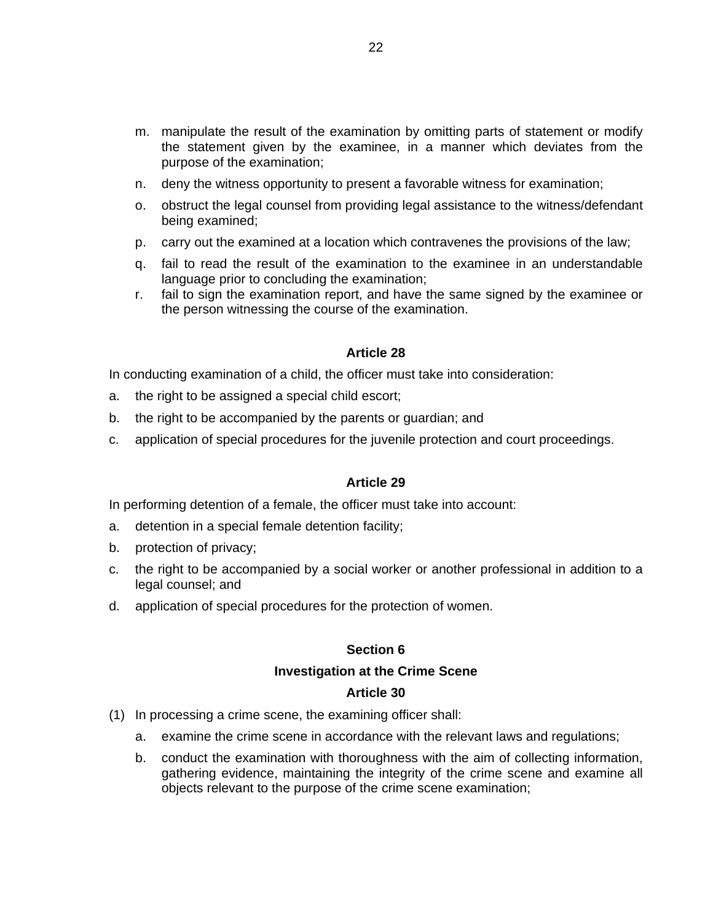- m. manipulate the result of the examination by omitting parts of statement or modify the statement given by the examinee, in a manner which deviates from the purpose of the examination;
- n. deny the witness opportunity to present a favorable witness for examination;
- o. obstruct the legal counsel from providing legal assistance to the witness/defendant being examined;
- p. carry out the examined at a location which contravenes the provisions of the law;
- q. fail to read the result of the examination to the examinee in an understandable language prior to concluding the examination;
- r. fail to sign the examination report, and have the same signed by the examinee or the person witnessing the course of the examination.

In conducting examination of a child, the officer must take into consideration:

- a. the right to be assigned a special child escort;
- b. the right to be accompanied by the parents or guardian; and
- c. application of special procedures for the juvenile protection and court proceedings.

#### **Article 29**

In performing detention of a female, the officer must take into account:

- a. detention in a special female detention facility;
- b. protection of privacy;
- c. the right to be accompanied by a social worker or another professional in addition to a legal counsel; and
- d. application of special procedures for the protection of women.

#### **Section 6**

#### **Investigation at the Crime Scene**

- (1) In processing a crime scene, the examining officer shall:
	- a. examine the crime scene in accordance with the relevant laws and regulations;
	- b. conduct the examination with thoroughness with the aim of collecting information, gathering evidence, maintaining the integrity of the crime scene and examine all objects relevant to the purpose of the crime scene examination;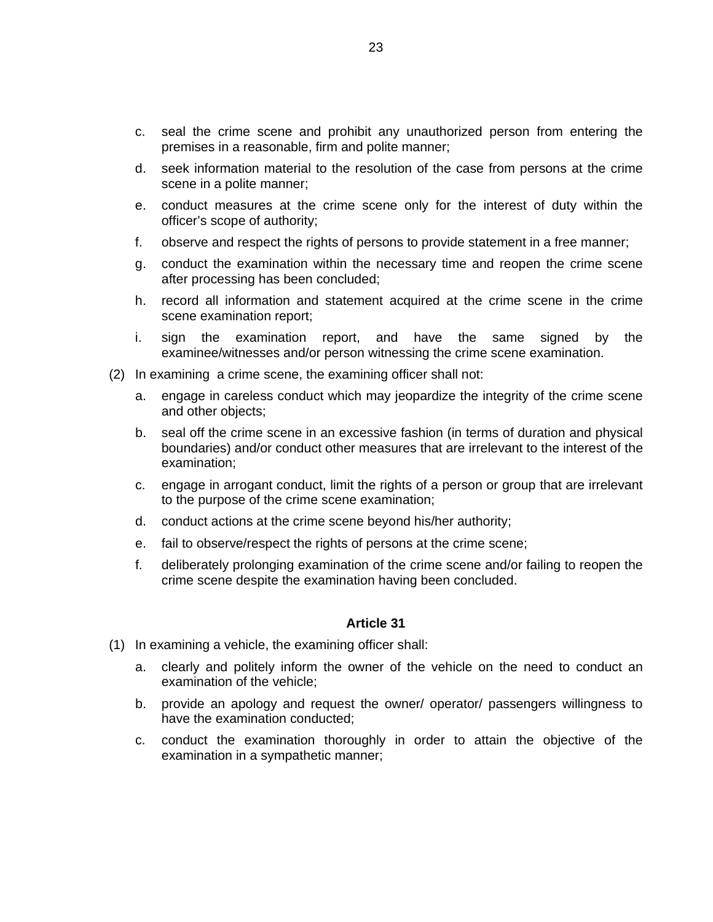- c. seal the crime scene and prohibit any unauthorized person from entering the premises in a reasonable, firm and polite manner;
- d. seek information material to the resolution of the case from persons at the crime scene in a polite manner;
- e. conduct measures at the crime scene only for the interest of duty within the officer's scope of authority;
- f. observe and respect the rights of persons to provide statement in a free manner;
- g. conduct the examination within the necessary time and reopen the crime scene after processing has been concluded;
- h. record all information and statement acquired at the crime scene in the crime scene examination report;
- i. sign the examination report, and have the same signed by the examinee/witnesses and/or person witnessing the crime scene examination.
- (2) In examining a crime scene, the examining officer shall not:
	- a. engage in careless conduct which may jeopardize the integrity of the crime scene and other objects;
	- b. seal off the crime scene in an excessive fashion (in terms of duration and physical boundaries) and/or conduct other measures that are irrelevant to the interest of the examination;
	- c. engage in arrogant conduct, limit the rights of a person or group that are irrelevant to the purpose of the crime scene examination;
	- d. conduct actions at the crime scene beyond his/her authority;
	- e. fail to observe/respect the rights of persons at the crime scene;
	- f. deliberately prolonging examination of the crime scene and/or failing to reopen the crime scene despite the examination having been concluded.

- (1) In examining a vehicle, the examining officer shall:
	- a. clearly and politely inform the owner of the vehicle on the need to conduct an examination of the vehicle;
	- b. provide an apology and request the owner/ operator/ passengers willingness to have the examination conducted;
	- c. conduct the examination thoroughly in order to attain the objective of the examination in a sympathetic manner;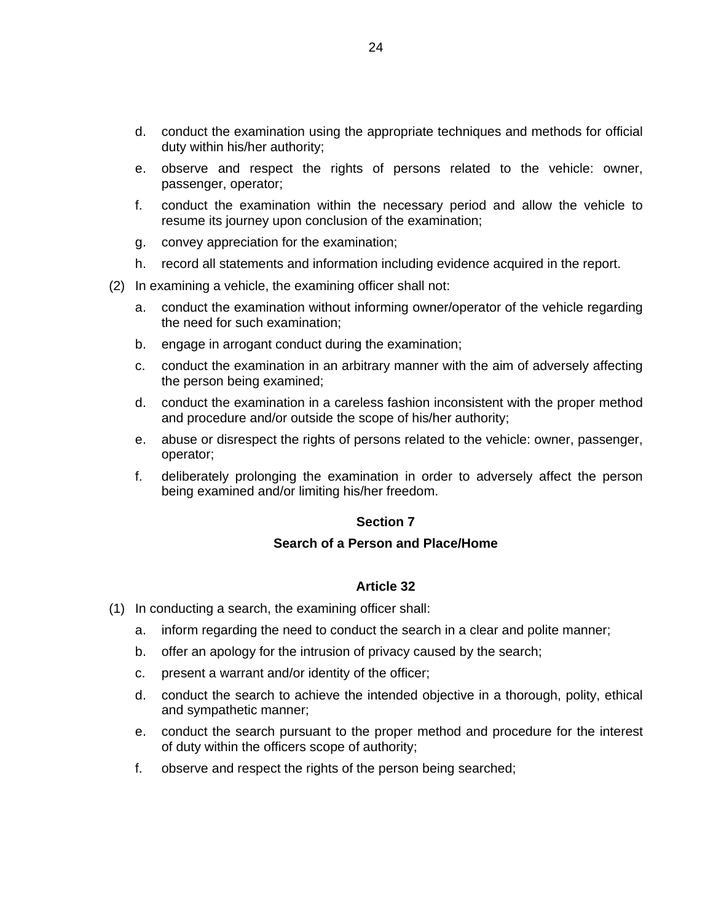- d. conduct the examination using the appropriate techniques and methods for official duty within his/her authority;
- e. observe and respect the rights of persons related to the vehicle: owner, passenger, operator;
- f. conduct the examination within the necessary period and allow the vehicle to resume its journey upon conclusion of the examination;
- g. convey appreciation for the examination;
- h. record all statements and information including evidence acquired in the report.
- (2) In examining a vehicle, the examining officer shall not:
	- a. conduct the examination without informing owner/operator of the vehicle regarding the need for such examination;
	- b. engage in arrogant conduct during the examination;
	- c. conduct the examination in an arbitrary manner with the aim of adversely affecting the person being examined;
	- d. conduct the examination in a careless fashion inconsistent with the proper method and procedure and/or outside the scope of his/her authority;
	- e. abuse or disrespect the rights of persons related to the vehicle: owner, passenger, operator;
	- f. deliberately prolonging the examination in order to adversely affect the person being examined and/or limiting his/her freedom.

#### **Section 7**

#### **Search of a Person and Place/Home**

- (1) In conducting a search, the examining officer shall:
	- a. inform regarding the need to conduct the search in a clear and polite manner;
	- b. offer an apology for the intrusion of privacy caused by the search;
	- c. present a warrant and/or identity of the officer;
	- d. conduct the search to achieve the intended objective in a thorough, polity, ethical and sympathetic manner;
	- e. conduct the search pursuant to the proper method and procedure for the interest of duty within the officers scope of authority;
	- f. observe and respect the rights of the person being searched;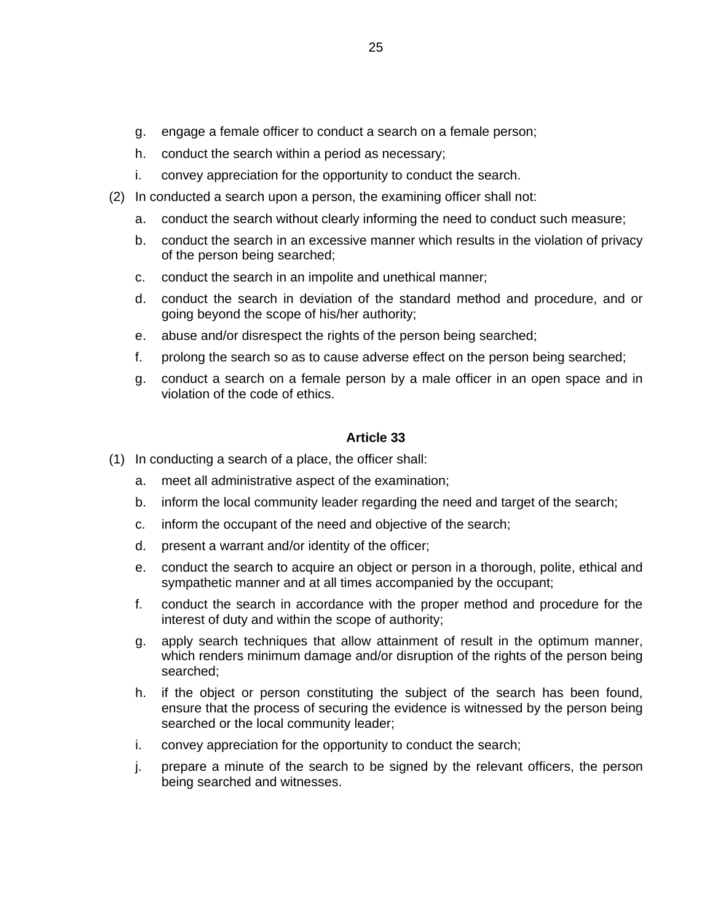- g. engage a female officer to conduct a search on a female person;
- h. conduct the search within a period as necessary;
- i. convey appreciation for the opportunity to conduct the search.
- (2) In conducted a search upon a person, the examining officer shall not:
	- a. conduct the search without clearly informing the need to conduct such measure;
	- b. conduct the search in an excessive manner which results in the violation of privacy of the person being searched;
	- c. conduct the search in an impolite and unethical manner;
	- d. conduct the search in deviation of the standard method and procedure, and or going beyond the scope of his/her authority;
	- e. abuse and/or disrespect the rights of the person being searched;
	- f. prolong the search so as to cause adverse effect on the person being searched;
	- g. conduct a search on a female person by a male officer in an open space and in violation of the code of ethics.

- (1) In conducting a search of a place, the officer shall:
	- a. meet all administrative aspect of the examination;
	- b. inform the local community leader regarding the need and target of the search;
	- c. inform the occupant of the need and objective of the search;
	- d. present a warrant and/or identity of the officer;
	- e. conduct the search to acquire an object or person in a thorough, polite, ethical and sympathetic manner and at all times accompanied by the occupant;
	- f. conduct the search in accordance with the proper method and procedure for the interest of duty and within the scope of authority;
	- g. apply search techniques that allow attainment of result in the optimum manner, which renders minimum damage and/or disruption of the rights of the person being searched;
	- h. if the object or person constituting the subject of the search has been found, ensure that the process of securing the evidence is witnessed by the person being searched or the local community leader;
	- i. convey appreciation for the opportunity to conduct the search;
	- j. prepare a minute of the search to be signed by the relevant officers, the person being searched and witnesses.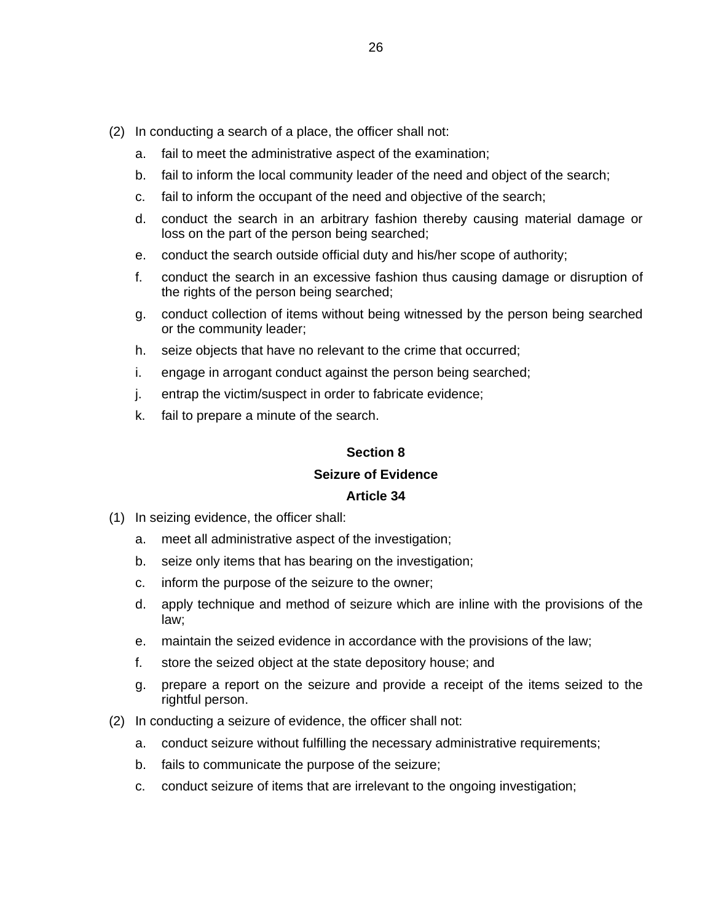- (2) In conducting a search of a place, the officer shall not:
	- a. fail to meet the administrative aspect of the examination;
	- b. fail to inform the local community leader of the need and object of the search;
	- c. fail to inform the occupant of the need and objective of the search;
	- d. conduct the search in an arbitrary fashion thereby causing material damage or loss on the part of the person being searched;
	- e. conduct the search outside official duty and his/her scope of authority;
	- f. conduct the search in an excessive fashion thus causing damage or disruption of the rights of the person being searched;
	- g. conduct collection of items without being witnessed by the person being searched or the community leader;
	- h. seize objects that have no relevant to the crime that occurred;
	- i. engage in arrogant conduct against the person being searched;
	- j. entrap the victim/suspect in order to fabricate evidence;
	- k. fail to prepare a minute of the search.

#### **Section 8 Seizure of Evidence**

- (1) In seizing evidence, the officer shall:
	- a. meet all administrative aspect of the investigation;
	- b. seize only items that has bearing on the investigation;
	- c. inform the purpose of the seizure to the owner;
	- d. apply technique and method of seizure which are inline with the provisions of the law;
	- e. maintain the seized evidence in accordance with the provisions of the law;
	- f. store the seized object at the state depository house; and
	- g. prepare a report on the seizure and provide a receipt of the items seized to the rightful person.
- (2) In conducting a seizure of evidence, the officer shall not:
	- a. conduct seizure without fulfilling the necessary administrative requirements;
	- b. fails to communicate the purpose of the seizure;
	- c. conduct seizure of items that are irrelevant to the ongoing investigation;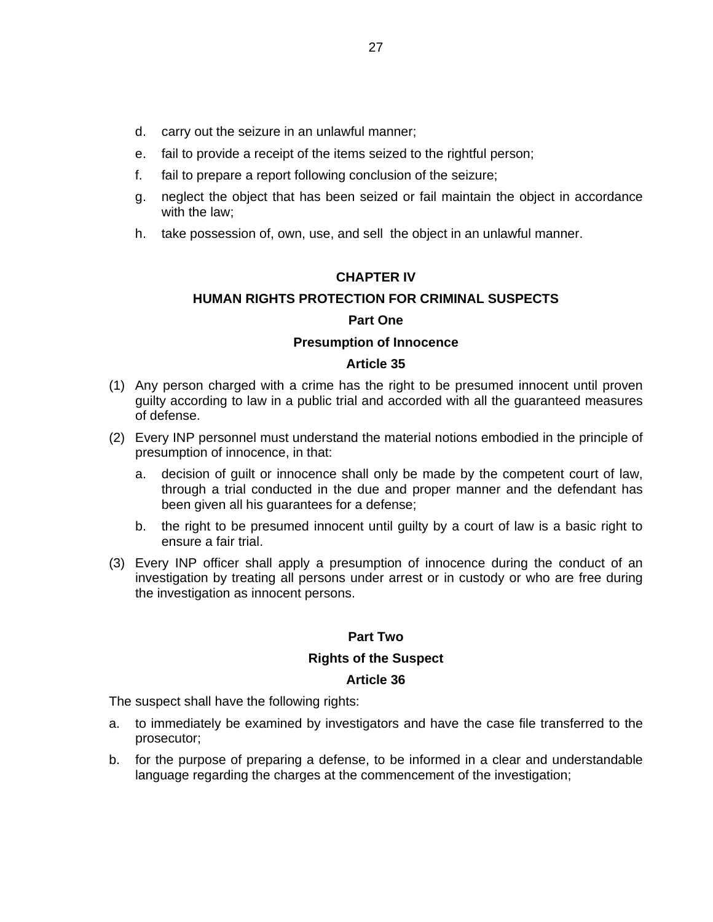- d. carry out the seizure in an unlawful manner;
- e. fail to provide a receipt of the items seized to the rightful person;
- f. fail to prepare a report following conclusion of the seizure;
- g. neglect the object that has been seized or fail maintain the object in accordance with the law;
- h. take possession of, own, use, and sell the object in an unlawful manner.

#### **CHAPTER IV**

#### **HUMAN RIGHTS PROTECTION FOR CRIMINAL SUSPECTS**

#### **Part One**

#### **Presumption of Innocence**

#### **Article 35**

- (1) Any person charged with a crime has the right to be presumed innocent until proven guilty according to law in a public trial and accorded with all the guaranteed measures of defense.
- (2) Every INP personnel must understand the material notions embodied in the principle of presumption of innocence, in that:
	- a. decision of guilt or innocence shall only be made by the competent court of law, through a trial conducted in the due and proper manner and the defendant has been given all his guarantees for a defense;
	- b. the right to be presumed innocent until guilty by a court of law is a basic right to ensure a fair trial.
- (3) Every INP officer shall apply a presumption of innocence during the conduct of an investigation by treating all persons under arrest or in custody or who are free during the investigation as innocent persons.

#### **Part Two**

#### **Rights of the Suspect**

#### **Article 36**

The suspect shall have the following rights:

- a. to immediately be examined by investigators and have the case file transferred to the prosecutor;
- b. for the purpose of preparing a defense, to be informed in a clear and understandable language regarding the charges at the commencement of the investigation;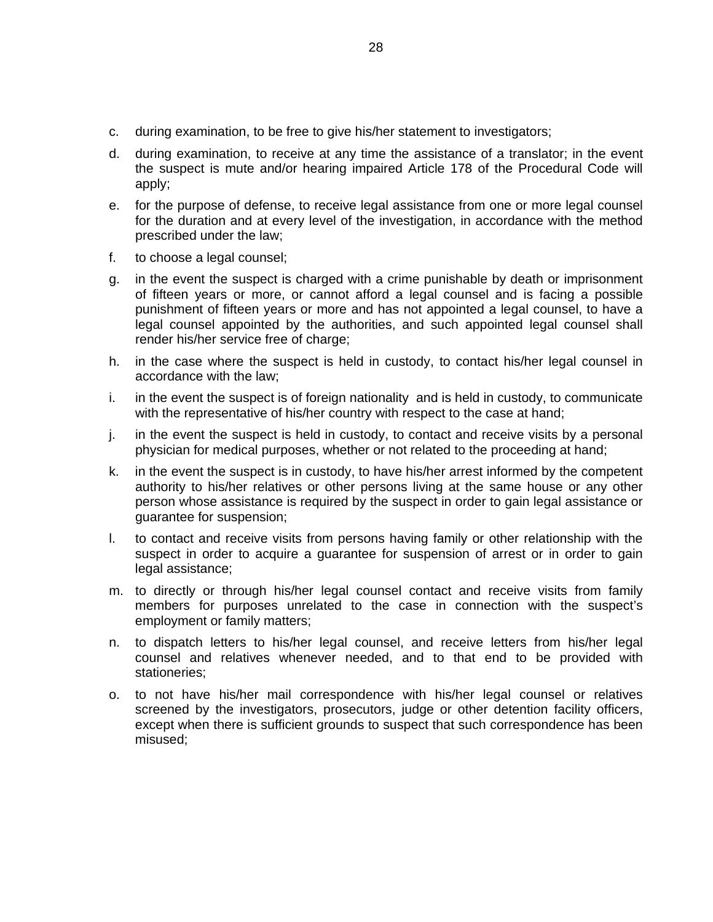- c. during examination, to be free to give his/her statement to investigators;
- d. during examination, to receive at any time the assistance of a translator; in the event the suspect is mute and/or hearing impaired Article 178 of the Procedural Code will apply;
- e. for the purpose of defense, to receive legal assistance from one or more legal counsel for the duration and at every level of the investigation, in accordance with the method prescribed under the law;
- f. to choose a legal counsel;
- g. in the event the suspect is charged with a crime punishable by death or imprisonment of fifteen years or more, or cannot afford a legal counsel and is facing a possible punishment of fifteen years or more and has not appointed a legal counsel, to have a legal counsel appointed by the authorities, and such appointed legal counsel shall render his/her service free of charge;
- h. in the case where the suspect is held in custody, to contact his/her legal counsel in accordance with the law;
- i. in the event the suspect is of foreign nationality and is held in custody, to communicate with the representative of his/her country with respect to the case at hand;
- j. in the event the suspect is held in custody, to contact and receive visits by a personal physician for medical purposes, whether or not related to the proceeding at hand;
- k. in the event the suspect is in custody, to have his/her arrest informed by the competent authority to his/her relatives or other persons living at the same house or any other person whose assistance is required by the suspect in order to gain legal assistance or guarantee for suspension;
- l. to contact and receive visits from persons having family or other relationship with the suspect in order to acquire a guarantee for suspension of arrest or in order to gain legal assistance;
- m. to directly or through his/her legal counsel contact and receive visits from family members for purposes unrelated to the case in connection with the suspect's employment or family matters;
- n. to dispatch letters to his/her legal counsel, and receive letters from his/her legal counsel and relatives whenever needed, and to that end to be provided with stationeries;
- o. to not have his/her mail correspondence with his/her legal counsel or relatives screened by the investigators, prosecutors, judge or other detention facility officers, except when there is sufficient grounds to suspect that such correspondence has been misused;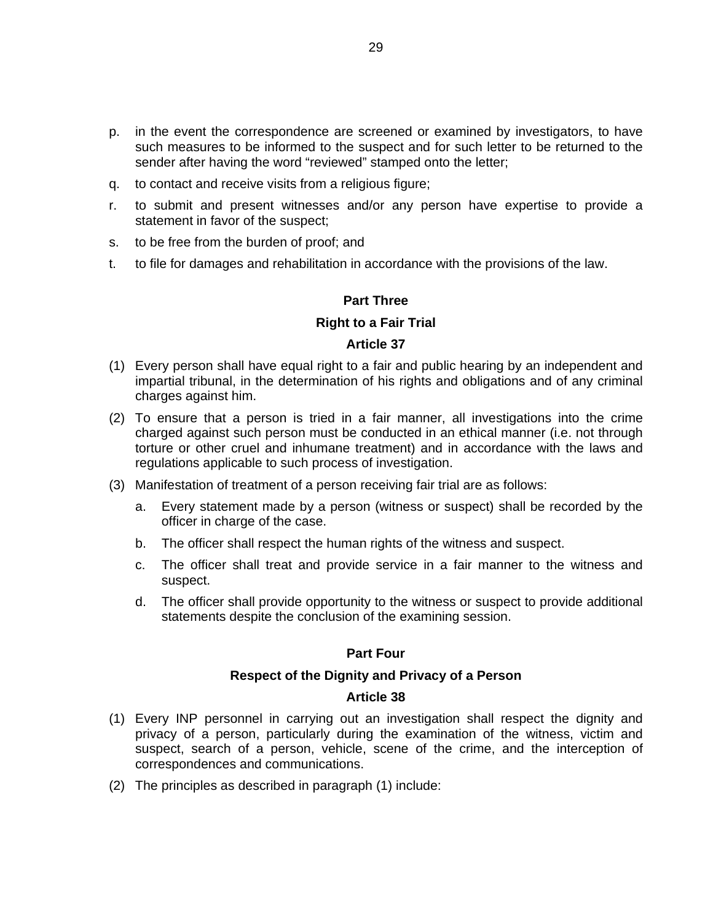- p. in the event the correspondence are screened or examined by investigators, to have such measures to be informed to the suspect and for such letter to be returned to the sender after having the word "reviewed" stamped onto the letter;
- q. to contact and receive visits from a religious figure;
- r. to submit and present witnesses and/or any person have expertise to provide a statement in favor of the suspect;
- s. to be free from the burden of proof; and
- t. to file for damages and rehabilitation in accordance with the provisions of the law.

#### **Part Three**

#### **Right to a Fair Trial**

#### **Article 37**

- (1) Every person shall have equal right to a fair and public hearing by an independent and impartial tribunal, in the determination of his rights and obligations and of any criminal charges against him.
- (2) To ensure that a person is tried in a fair manner, all investigations into the crime charged against such person must be conducted in an ethical manner (i.e. not through torture or other cruel and inhumane treatment) and in accordance with the laws and regulations applicable to such process of investigation.
- (3) Manifestation of treatment of a person receiving fair trial are as follows:
	- a. Every statement made by a person (witness or suspect) shall be recorded by the officer in charge of the case.
	- b. The officer shall respect the human rights of the witness and suspect.
	- c. The officer shall treat and provide service in a fair manner to the witness and suspect.
	- d. The officer shall provide opportunity to the witness or suspect to provide additional statements despite the conclusion of the examining session.

#### **Part Four**

#### **Respect of the Dignity and Privacy of a Person**

- (1) Every INP personnel in carrying out an investigation shall respect the dignity and privacy of a person, particularly during the examination of the witness, victim and suspect, search of a person, vehicle, scene of the crime, and the interception of correspondences and communications.
- (2) The principles as described in paragraph (1) include: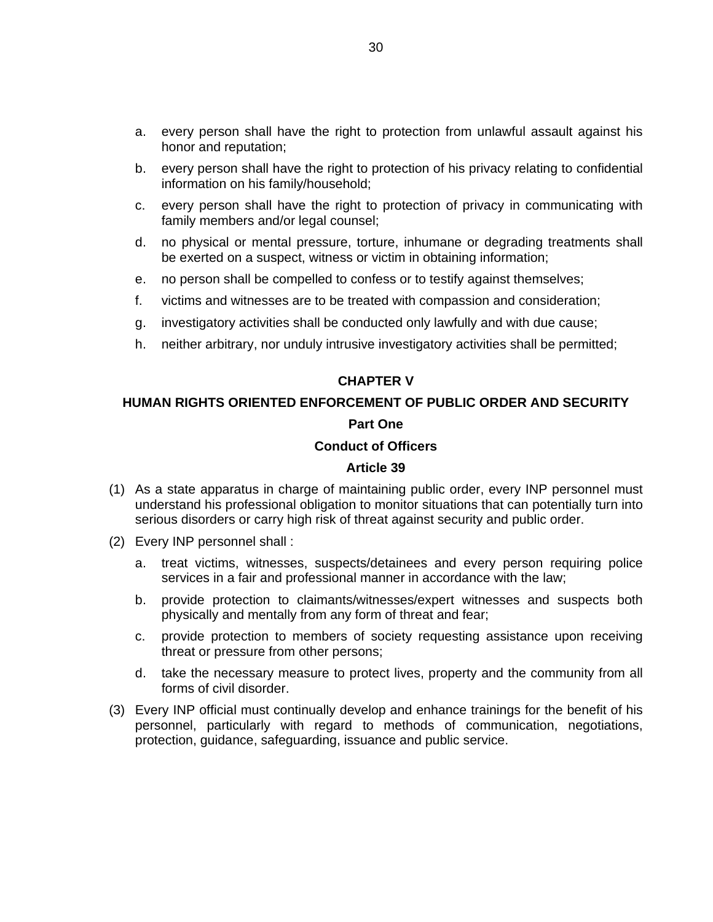- a. every person shall have the right to protection from unlawful assault against his honor and reputation;
- b. every person shall have the right to protection of his privacy relating to confidential information on his family/household;
- c. every person shall have the right to protection of privacy in communicating with family members and/or legal counsel;
- d. no physical or mental pressure, torture, inhumane or degrading treatments shall be exerted on a suspect, witness or victim in obtaining information;
- e. no person shall be compelled to confess or to testify against themselves;
- f. victims and witnesses are to be treated with compassion and consideration;
- g. investigatory activities shall be conducted only lawfully and with due cause;
- h. neither arbitrary, nor unduly intrusive investigatory activities shall be permitted;

#### **CHAPTER V**

# **HUMAN RIGHTS ORIENTED ENFORCEMENT OF PUBLIC ORDER AND SECURITY Part One**

#### **Conduct of Officers**

- (1) As a state apparatus in charge of maintaining public order, every INP personnel must understand his professional obligation to monitor situations that can potentially turn into serious disorders or carry high risk of threat against security and public order.
- (2) Every INP personnel shall :
	- a. treat victims, witnesses, suspects/detainees and every person requiring police services in a fair and professional manner in accordance with the law;
	- b. provide protection to claimants/witnesses/expert witnesses and suspects both physically and mentally from any form of threat and fear;
	- c. provide protection to members of society requesting assistance upon receiving threat or pressure from other persons;
	- d. take the necessary measure to protect lives, property and the community from all forms of civil disorder.
- (3) Every INP official must continually develop and enhance trainings for the benefit of his personnel, particularly with regard to methods of communication, negotiations, protection, guidance, safeguarding, issuance and public service.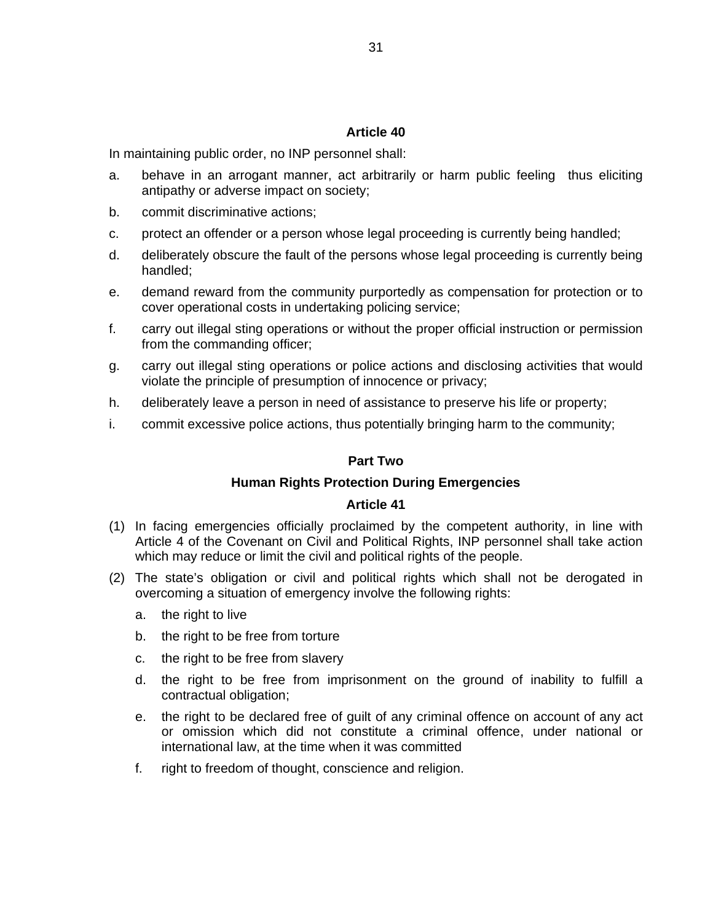In maintaining public order, no INP personnel shall:

- a. behave in an arrogant manner, act arbitrarily or harm public feeling thus eliciting antipathy or adverse impact on society;
- b. commit discriminative actions;
- c. protect an offender or a person whose legal proceeding is currently being handled;
- d. deliberately obscure the fault of the persons whose legal proceeding is currently being handled;
- e. demand reward from the community purportedly as compensation for protection or to cover operational costs in undertaking policing service;
- f. carry out illegal sting operations or without the proper official instruction or permission from the commanding officer;
- g. carry out illegal sting operations or police actions and disclosing activities that would violate the principle of presumption of innocence or privacy;
- h. deliberately leave a person in need of assistance to preserve his life or property;
- i. commit excessive police actions, thus potentially bringing harm to the community;

#### **Part Two**

#### **Human Rights Protection During Emergencies**

- (1) In facing emergencies officially proclaimed by the competent authority, in line with Article 4 of the Covenant on Civil and Political Rights, INP personnel shall take action which may reduce or limit the civil and political rights of the people.
- (2) The state's obligation or civil and political rights which shall not be derogated in overcoming a situation of emergency involve the following rights:
	- a. the right to live
	- b. the right to be free from torture
	- c. the right to be free from slavery
	- d. the right to be free from imprisonment on the ground of inability to fulfill a contractual obligation;
	- e. the right to be declared free of guilt of any criminal offence on account of any act or omission which did not constitute a criminal offence, under national or international law, at the time when it was committed
	- f. right to freedom of thought, conscience and religion.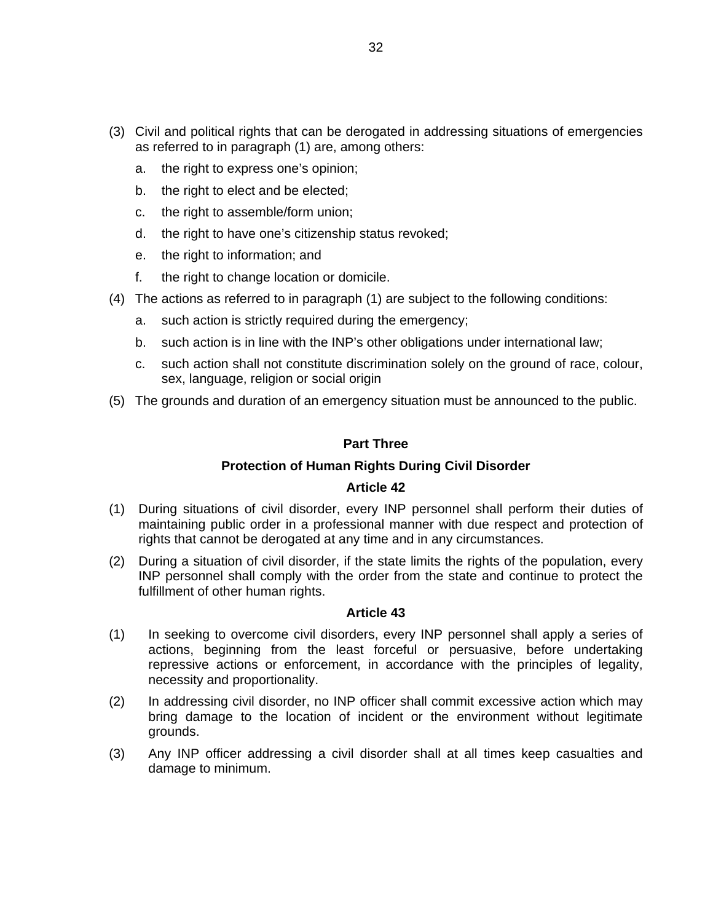- (3) Civil and political rights that can be derogated in addressing situations of emergencies as referred to in paragraph (1) are, among others:
	- a. the right to express one's opinion;
	- b. the right to elect and be elected;
	- c. the right to assemble/form union;
	- d. the right to have one's citizenship status revoked;
	- e. the right to information; and
	- f. the right to change location or domicile.
- (4) The actions as referred to in paragraph (1) are subject to the following conditions:
	- a. such action is strictly required during the emergency;
	- b. such action is in line with the INP's other obligations under international law;
	- c. such action shall not constitute discrimination solely on the ground of race, colour, sex, language, religion or social origin
- (5) The grounds and duration of an emergency situation must be announced to the public.

#### **Part Three**

#### **Protection of Human Rights During Civil Disorder**

#### **Article 42**

- (1) During situations of civil disorder, every INP personnel shall perform their duties of maintaining public order in a professional manner with due respect and protection of rights that cannot be derogated at any time and in any circumstances.
- (2) During a situation of civil disorder, if the state limits the rights of the population, every INP personnel shall comply with the order from the state and continue to protect the fulfillment of other human rights.

- (1) In seeking to overcome civil disorders, every INP personnel shall apply a series of actions, beginning from the least forceful or persuasive, before undertaking repressive actions or enforcement, in accordance with the principles of legality, necessity and proportionality.
- (2) In addressing civil disorder, no INP officer shall commit excessive action which may bring damage to the location of incident or the environment without legitimate grounds.
- (3) Any INP officer addressing a civil disorder shall at all times keep casualties and damage to minimum.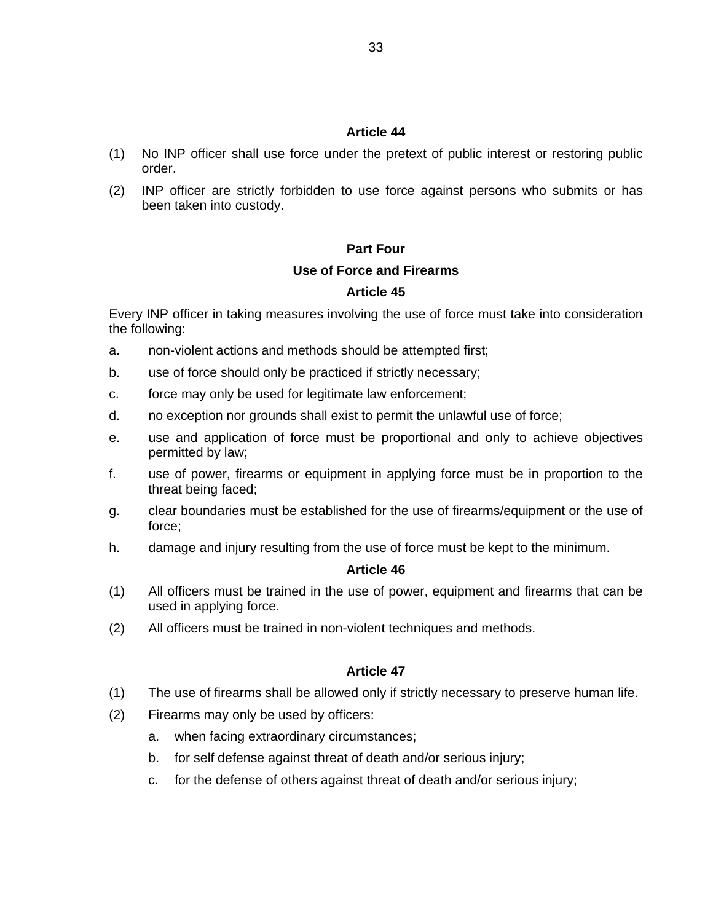- (1) No INP officer shall use force under the pretext of public interest or restoring public order.
- (2) INP officer are strictly forbidden to use force against persons who submits or has been taken into custody.

#### **Part Four**

#### **Use of Force and Firearms**

#### **Article 45**

Every INP officer in taking measures involving the use of force must take into consideration the following:

- a. non-violent actions and methods should be attempted first;
- b. use of force should only be practiced if strictly necessary;
- c. force may only be used for legitimate law enforcement;
- d. no exception nor grounds shall exist to permit the unlawful use of force;
- e. use and application of force must be proportional and only to achieve objectives permitted by law;
- f. use of power, firearms or equipment in applying force must be in proportion to the threat being faced;
- g. clear boundaries must be established for the use of firearms/equipment or the use of force;
- h. damage and injury resulting from the use of force must be kept to the minimum.

#### **Article 46**

- (1) All officers must be trained in the use of power, equipment and firearms that can be used in applying force.
- (2) All officers must be trained in non-violent techniques and methods.

- (1) The use of firearms shall be allowed only if strictly necessary to preserve human life.
- (2) Firearms may only be used by officers:
	- a. when facing extraordinary circumstances;
	- b. for self defense against threat of death and/or serious injury;
	- c. for the defense of others against threat of death and/or serious injury;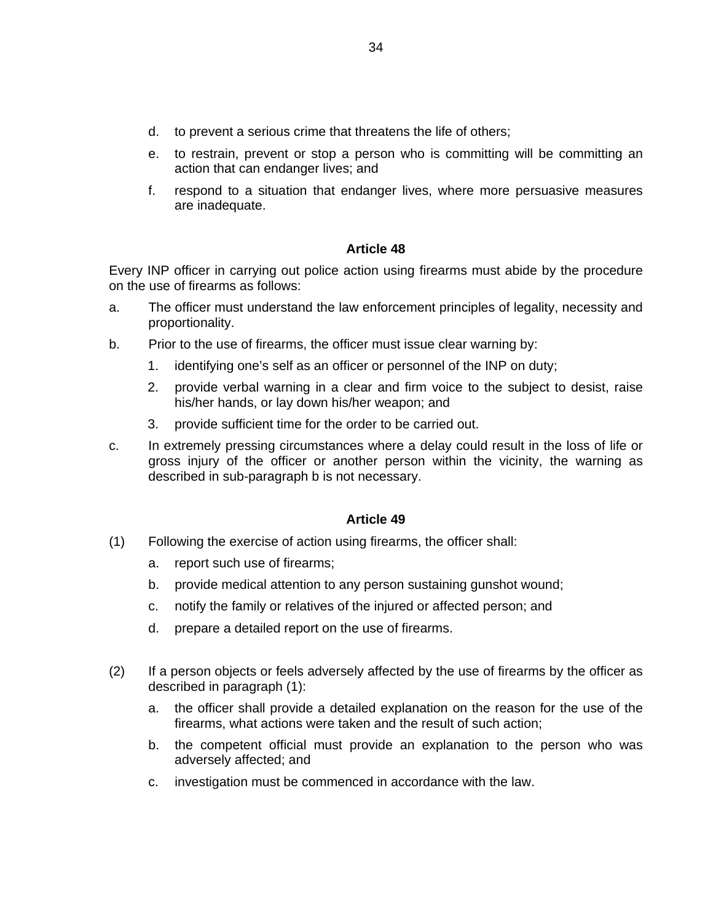- d. to prevent a serious crime that threatens the life of others;
- e. to restrain, prevent or stop a person who is committing will be committing an action that can endanger lives; and
- f. respond to a situation that endanger lives, where more persuasive measures are inadequate.

Every INP officer in carrying out police action using firearms must abide by the procedure on the use of firearms as follows:

- a. The officer must understand the law enforcement principles of legality, necessity and proportionality.
- b. Prior to the use of firearms, the officer must issue clear warning by:
	- 1. identifying one's self as an officer or personnel of the INP on duty;
	- 2. provide verbal warning in a clear and firm voice to the subject to desist, raise his/her hands, or lay down his/her weapon; and
	- 3. provide sufficient time for the order to be carried out.
- c. In extremely pressing circumstances where a delay could result in the loss of life or gross injury of the officer or another person within the vicinity, the warning as described in sub-paragraph b is not necessary.

- (1) Following the exercise of action using firearms, the officer shall:
	- a. report such use of firearms;
	- b. provide medical attention to any person sustaining gunshot wound;
	- c. notify the family or relatives of the injured or affected person; and
	- d. prepare a detailed report on the use of firearms.
- (2) If a person objects or feels adversely affected by the use of firearms by the officer as described in paragraph (1):
	- a. the officer shall provide a detailed explanation on the reason for the use of the firearms, what actions were taken and the result of such action;
	- b. the competent official must provide an explanation to the person who was adversely affected; and
	- c. investigation must be commenced in accordance with the law.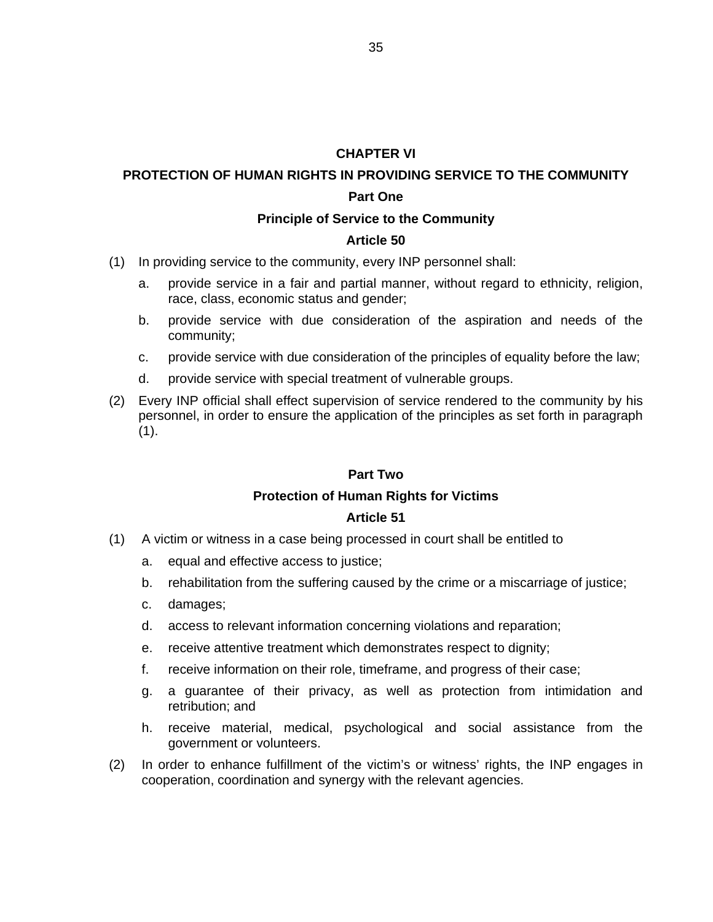#### **CHAPTER VI**

# **PROTECTION OF HUMAN RIGHTS IN PROVIDING SERVICE TO THE COMMUNITY**

#### **Part One**

#### **Principle of Service to the Community**

#### **Article 50**

- (1) In providing service to the community, every INP personnel shall:
	- a. provide service in a fair and partial manner, without regard to ethnicity, religion, race, class, economic status and gender;
	- b. provide service with due consideration of the aspiration and needs of the community;
	- c. provide service with due consideration of the principles of equality before the law;
	- d. provide service with special treatment of vulnerable groups.
- (2) Every INP official shall effect supervision of service rendered to the community by his personnel, in order to ensure the application of the principles as set forth in paragraph  $(1).$

#### **Part Two**

#### **Protection of Human Rights for Victims**

- (1) A victim or witness in a case being processed in court shall be entitled to
	- a. equal and effective access to justice;
	- b. rehabilitation from the suffering caused by the crime or a miscarriage of justice;
	- c. damages;
	- d. access to relevant information concerning violations and reparation;
	- e. receive attentive treatment which demonstrates respect to dignity;
	- f. receive information on their role, timeframe, and progress of their case;
	- g. a guarantee of their privacy, as well as protection from intimidation and retribution; and
	- h. receive material, medical, psychological and social assistance from the government or volunteers.
- (2) In order to enhance fulfillment of the victim's or witness' rights, the INP engages in cooperation, coordination and synergy with the relevant agencies.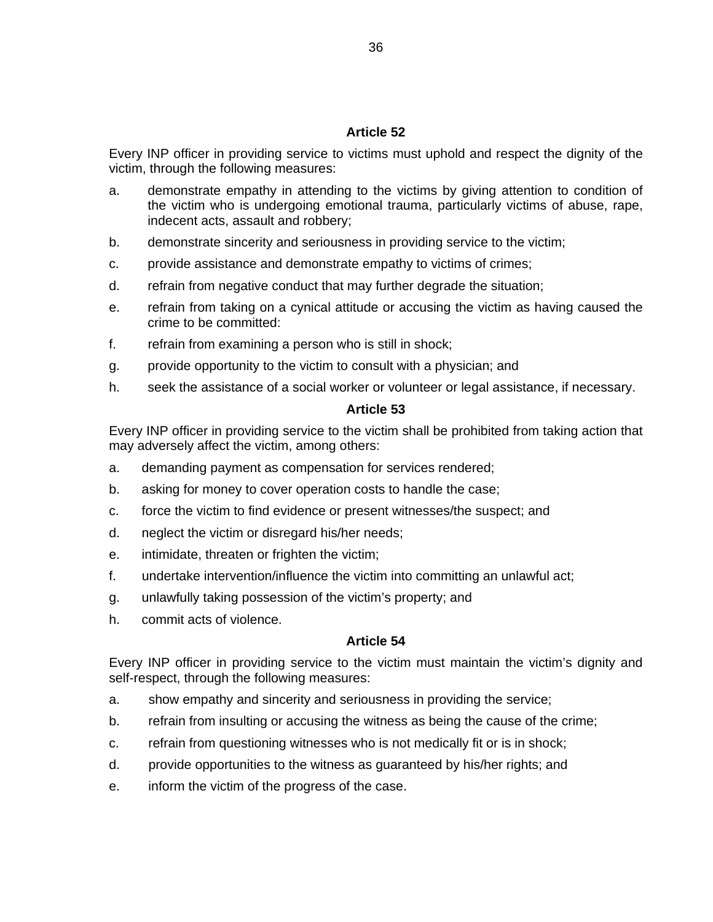Every INP officer in providing service to victims must uphold and respect the dignity of the victim, through the following measures:

- a. demonstrate empathy in attending to the victims by giving attention to condition of the victim who is undergoing emotional trauma, particularly victims of abuse, rape, indecent acts, assault and robbery;
- b. demonstrate sincerity and seriousness in providing service to the victim;
- c. provide assistance and demonstrate empathy to victims of crimes;
- d. refrain from negative conduct that may further degrade the situation;
- e. refrain from taking on a cynical attitude or accusing the victim as having caused the crime to be committed:
- f. refrain from examining a person who is still in shock;
- g. provide opportunity to the victim to consult with a physician; and
- h. seek the assistance of a social worker or volunteer or legal assistance, if necessary.

#### **Article 53**

Every INP officer in providing service to the victim shall be prohibited from taking action that may adversely affect the victim, among others:

- a. demanding payment as compensation for services rendered;
- b. asking for money to cover operation costs to handle the case;
- c. force the victim to find evidence or present witnesses/the suspect; and
- d. neglect the victim or disregard his/her needs;
- e. intimidate, threaten or frighten the victim;
- f. undertake intervention/influence the victim into committing an unlawful act;
- g. unlawfully taking possession of the victim's property; and
- h. commit acts of violence.

#### **Article 54**

Every INP officer in providing service to the victim must maintain the victim's dignity and self-respect, through the following measures:

- a. show empathy and sincerity and seriousness in providing the service;
- b. refrain from insulting or accusing the witness as being the cause of the crime;
- c. refrain from questioning witnesses who is not medically fit or is in shock;
- d. provide opportunities to the witness as guaranteed by his/her rights; and
- e. inform the victim of the progress of the case.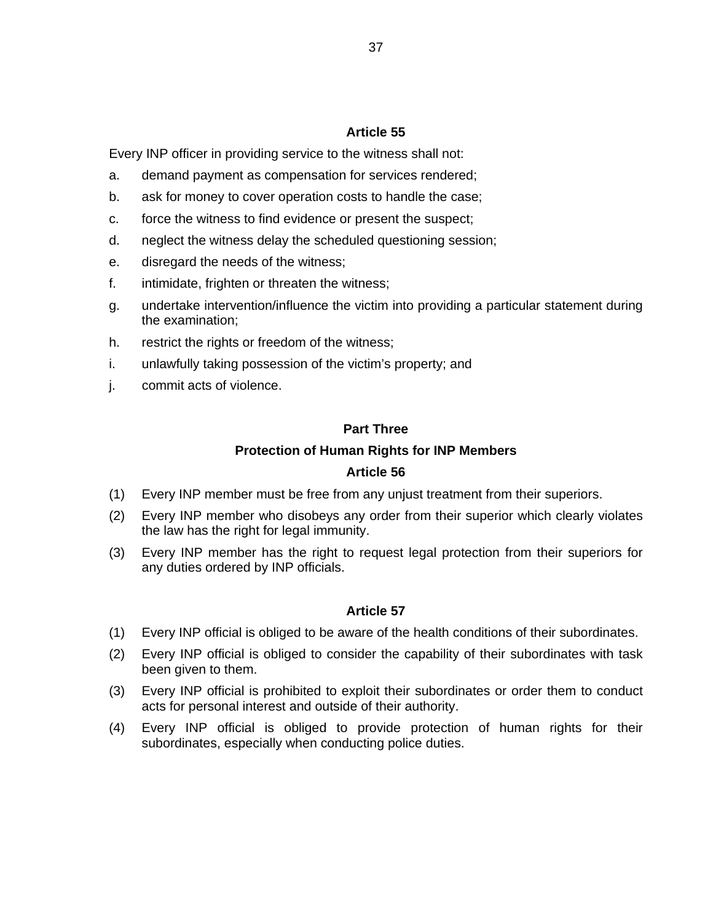Every INP officer in providing service to the witness shall not:

- a. demand payment as compensation for services rendered;
- b. ask for money to cover operation costs to handle the case;
- c. force the witness to find evidence or present the suspect;
- d. neglect the witness delay the scheduled questioning session;
- e. disregard the needs of the witness;
- f. intimidate, frighten or threaten the witness;
- g. undertake intervention/influence the victim into providing a particular statement during the examination;
- h. restrict the rights or freedom of the witness;
- i. unlawfully taking possession of the victim's property; and
- j. commit acts of violence.

#### **Part Three**

#### **Protection of Human Rights for INP Members**

#### **Article 56**

- (1) Every INP member must be free from any unjust treatment from their superiors.
- (2) Every INP member who disobeys any order from their superior which clearly violates the law has the right for legal immunity.
- (3) Every INP member has the right to request legal protection from their superiors for any duties ordered by INP officials.

- (1) Every INP official is obliged to be aware of the health conditions of their subordinates.
- (2) Every INP official is obliged to consider the capability of their subordinates with task been given to them.
- (3) Every INP official is prohibited to exploit their subordinates or order them to conduct acts for personal interest and outside of their authority.
- (4) Every INP official is obliged to provide protection of human rights for their subordinates, especially when conducting police duties.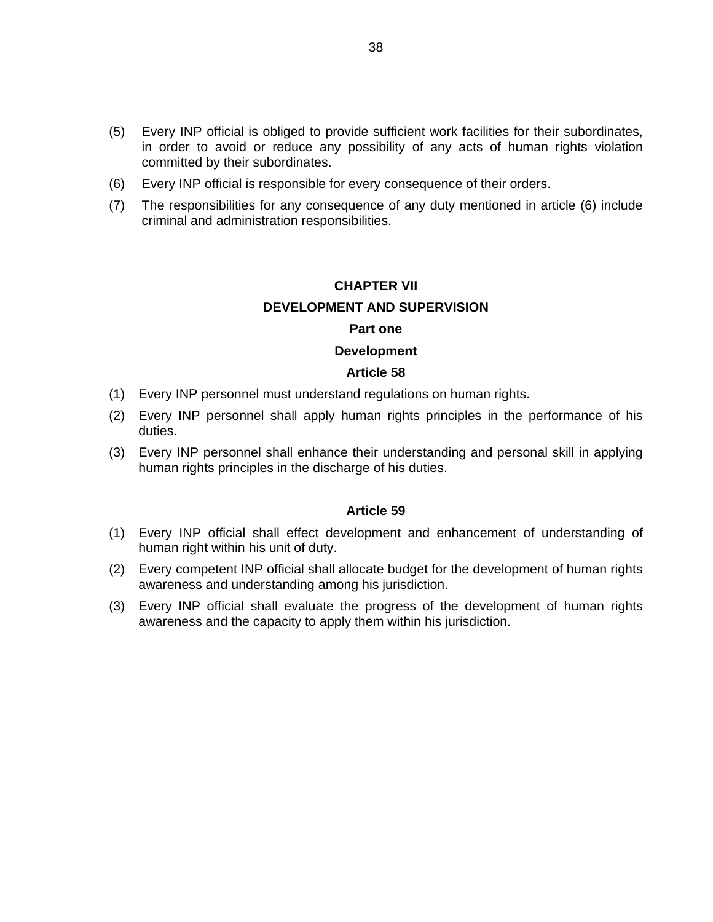- (5) Every INP official is obliged to provide sufficient work facilities for their subordinates, in order to avoid or reduce any possibility of any acts of human rights violation committed by their subordinates.
- (6) Every INP official is responsible for every consequence of their orders.
- (7) The responsibilities for any consequence of any duty mentioned in article (6) include criminal and administration responsibilities.

# **CHAPTER VII DEVELOPMENT AND SUPERVISION Part one**

# **Development**

#### **Article 58**

- (1) Every INP personnel must understand regulations on human rights.
- (2) Every INP personnel shall apply human rights principles in the performance of his duties.
- (3) Every INP personnel shall enhance their understanding and personal skill in applying human rights principles in the discharge of his duties.

- (1) Every INP official shall effect development and enhancement of understanding of human right within his unit of duty.
- (2) Every competent INP official shall allocate budget for the development of human rights awareness and understanding among his jurisdiction.
- (3) Every INP official shall evaluate the progress of the development of human rights awareness and the capacity to apply them within his jurisdiction.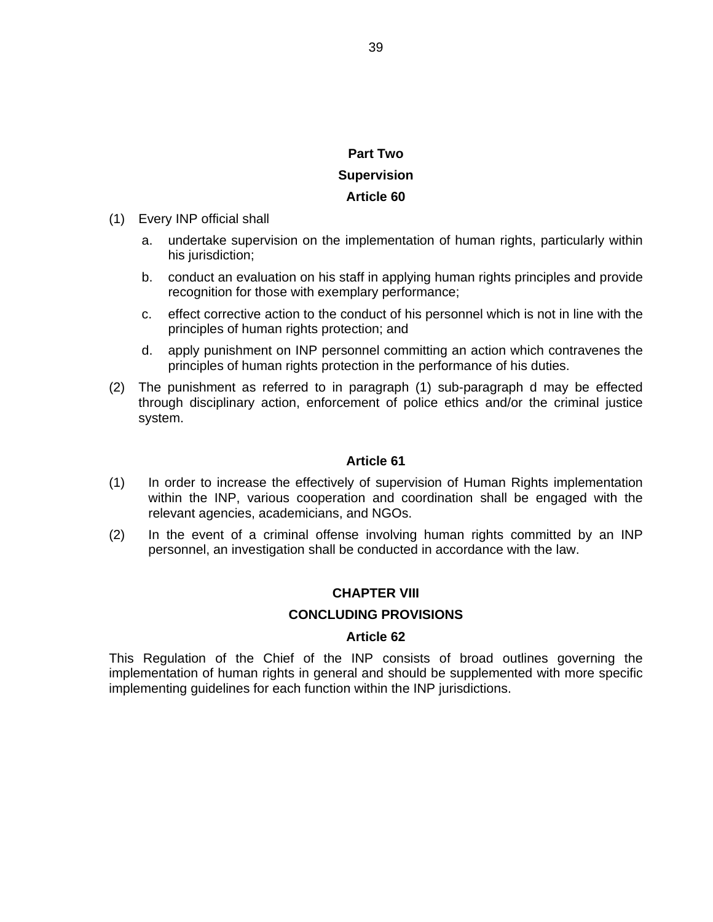# **Part Two Supervision Article 60**

- (1) Every INP official shall
	- a. undertake supervision on the implementation of human rights, particularly within his jurisdiction;
	- b. conduct an evaluation on his staff in applying human rights principles and provide recognition for those with exemplary performance;
	- c. effect corrective action to the conduct of his personnel which is not in line with the principles of human rights protection; and
	- d. apply punishment on INP personnel committing an action which contravenes the principles of human rights protection in the performance of his duties.
- (2) The punishment as referred to in paragraph (1) sub-paragraph d may be effected through disciplinary action, enforcement of police ethics and/or the criminal justice system.

#### **Article 61**

- (1) In order to increase the effectively of supervision of Human Rights implementation within the INP, various cooperation and coordination shall be engaged with the relevant agencies, academicians, and NGOs.
- (2) In the event of a criminal offense involving human rights committed by an INP personnel, an investigation shall be conducted in accordance with the law.

#### **CHAPTER VIII**

#### **CONCLUDING PROVISIONS**

#### **Article 62**

This Regulation of the Chief of the INP consists of broad outlines governing the implementation of human rights in general and should be supplemented with more specific implementing guidelines for each function within the INP jurisdictions.